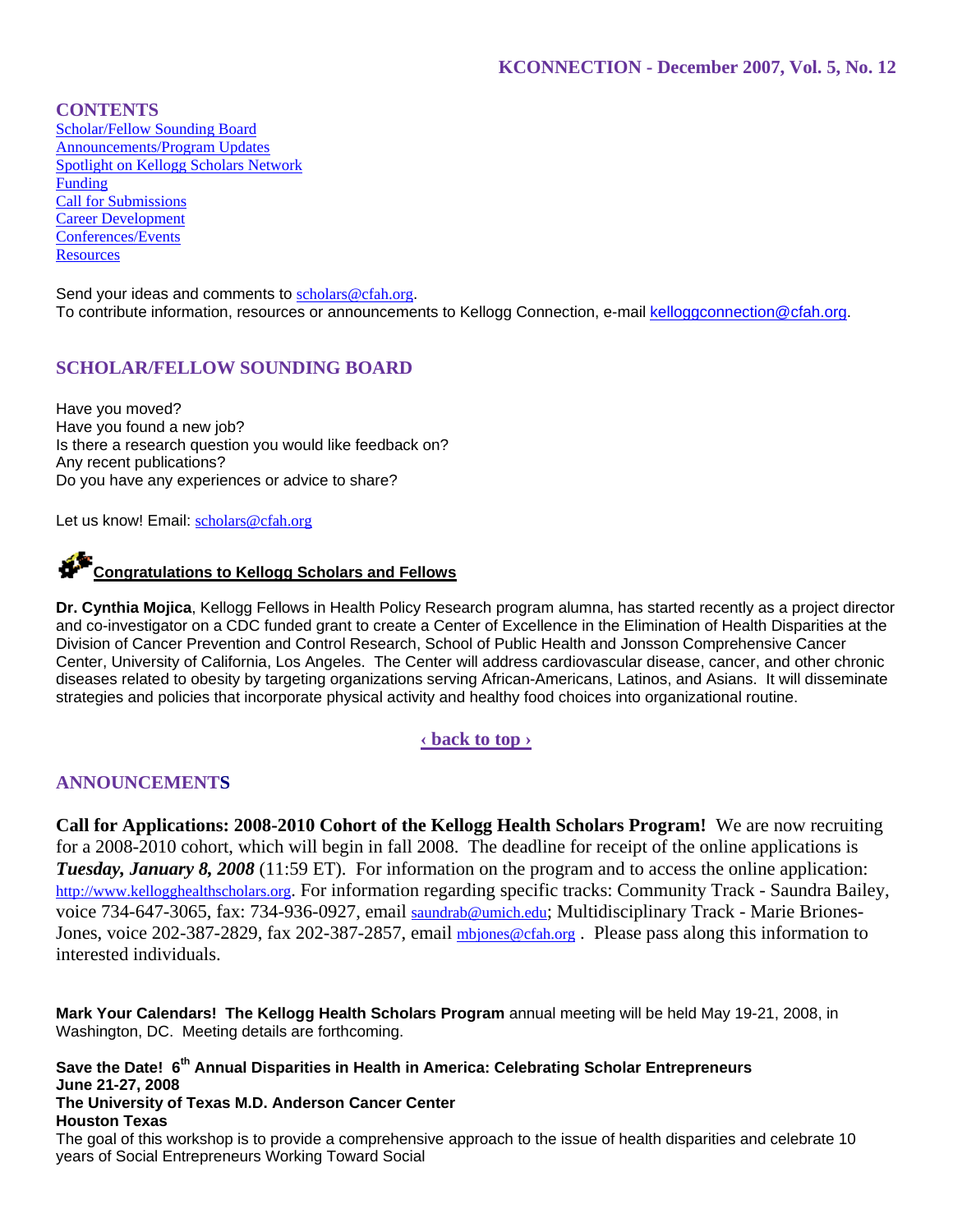**CONTENTS** Scholar/Fellow Sounding Board Announcements/Program Updates Spotlight on Kellogg Scholars Network Funding Call for Submissions Career Development Conferences/Events **Resources** 

Send your ideas and comments to scholars@cfah.org. To contribute information, resources or announcements to Kellogg Connection, e-mail kelloggconnection@cfah.org.

# **SCHOLAR/FELLOW SOUNDING BOARD**

Have you moved? Have you found a new job? Is there a research question you would like feedback on? Any recent publications? Do you have any experiences or advice to share?

Let us know! Email: scholars@cfah.org

# **Congratulations to Kellogg Scholars and Fellows**

**Dr. Cynthia Mojica**, Kellogg Fellows in Health Policy Research program alumna, has started recently as a project director and co-investigator on a CDC funded grant to create a Center of Excellence in the Elimination of Health Disparities at the Division of Cancer Prevention and Control Research, School of Public Health and Jonsson Comprehensive Cancer Center, University of California, Los Angeles. The Center will address cardiovascular disease, cancer, and other chronic diseases related to obesity by targeting organizations serving African-Americans, Latinos, and Asians. It will disseminate strategies and policies that incorporate physical activity and healthy food choices into organizational routine.

# **‹ back to top ›**

# **ANNOUNCEMENTS**

**Call for Applications: 2008-2010 Cohort of the Kellogg Health Scholars Program!** We are now recruiting for a 2008-2010 cohort, which will begin in fall 2008. The deadline for receipt of the online applications is *Tuesday, January 8, 2008* (11:59 ET). For information on the program and to access the online application: http://www.kellogghealthscholars.org. For information regarding specific tracks: Community Track - Saundra Bailey, voice 734-647-3065, fax: 734-936-0927, email saundrab@umich.edu; Multidisciplinary Track - Marie Briones-Jones, voice 202-387-2829, fax 202-387-2857, email mbjones@cfah.org. Please pass along this information to interested individuals.

**Mark Your Calendars! The Kellogg Health Scholars Program** annual meeting will be held May 19-21, 2008, in Washington, DC. Meeting details are forthcoming.

**Save the Date! 6th Annual Disparities in Health in America: Celebrating Scholar Entrepreneurs June 21-27, 2008 The University of Texas M.D. Anderson Cancer Center Houston Texas**  The goal of this workshop is to provide a comprehensive approach to the issue of health disparities and celebrate 10 years of Social Entrepreneurs Working Toward Social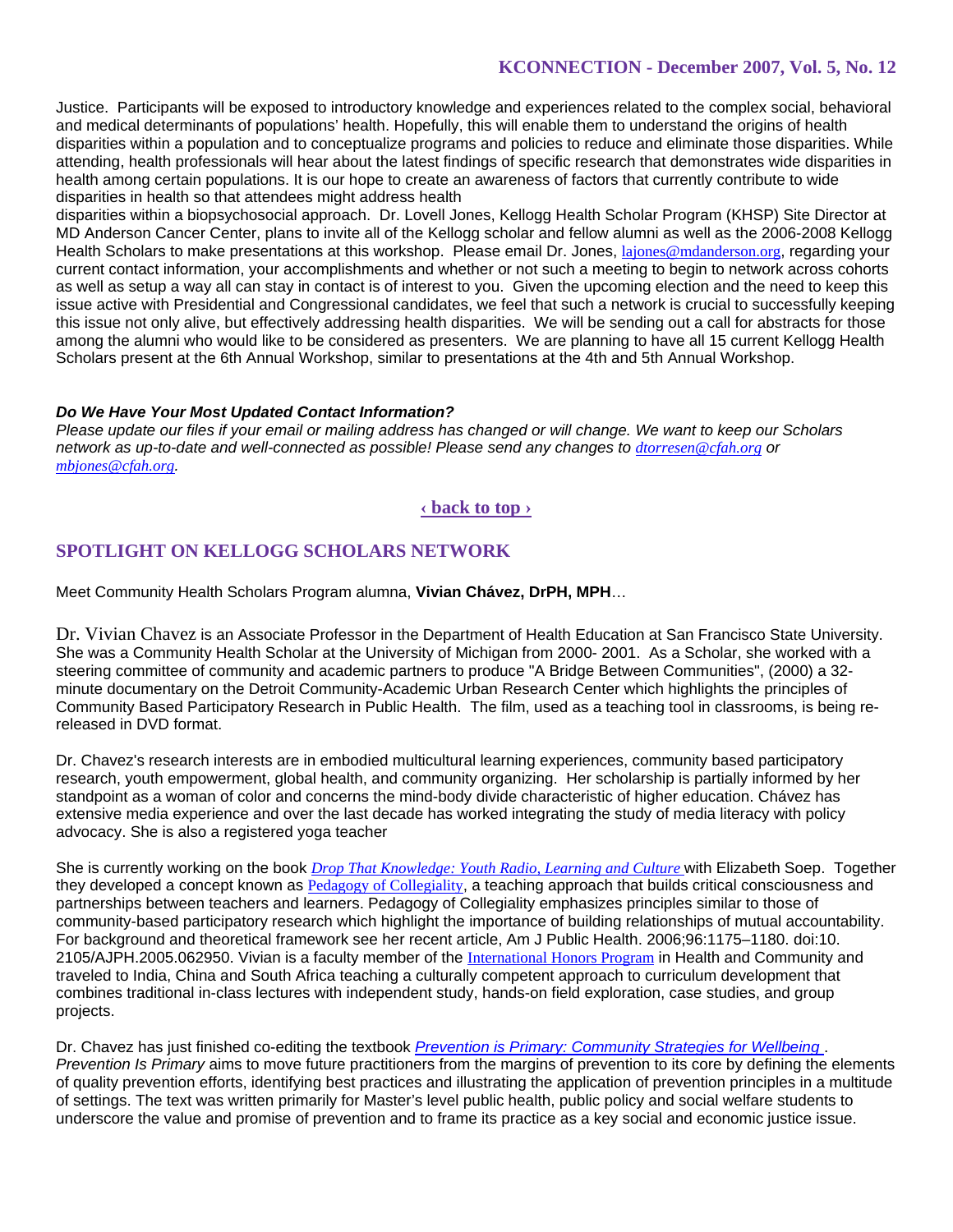Justice. Participants will be exposed to introductory knowledge and experiences related to the complex social, behavioral and medical determinants of populations' health. Hopefully, this will enable them to understand the origins of health disparities within a population and to conceptualize programs and policies to reduce and eliminate those disparities. While attending, health professionals will hear about the latest findings of specific research that demonstrates wide disparities in health among certain populations. It is our hope to create an awareness of factors that currently contribute to wide disparities in health so that attendees might address health

disparities within a biopsychosocial approach. Dr. Lovell Jones, Kellogg Health Scholar Program (KHSP) Site Director at MD Anderson Cancer Center, plans to invite all of the Kellogg scholar and fellow alumni as well as the 2006-2008 Kellogg Health Scholars to make presentations at this workshop. Please email Dr. Jones, lajones@mdanderson.org, regarding your current contact information, your accomplishments and whether or not such a meeting to begin to network across cohorts as well as setup a way all can stay in contact is of interest to you. Given the upcoming election and the need to keep this issue active with Presidential and Congressional candidates, we feel that such a network is crucial to successfully keeping this issue not only alive, but effectively addressing health disparities. We will be sending out a call for abstracts for those among the alumni who would like to be considered as presenters. We are planning to have all 15 current Kellogg Health Scholars present at the 6th Annual Workshop, similar to presentations at the 4th and 5th Annual Workshop.

### *Do We Have Your Most Updated Contact Information?*

*Please update our files if your email or mailing address has changed or will change. We want to keep our Scholars network as up-to-date and well-connected as possible! Please send any changes to dtorresen@cfah.org or mbjones@cfah.org.* 

# **‹ back to top ›**

# **SPOTLIGHT ON KELLOGG SCHOLARS NETWORK**

Meet Community Health Scholars Program alumna, **Vivian Chávez, DrPH, MPH**…

Dr. Vivian Chavez is an Associate Professor in the Department of Health Education at San Francisco State University. She was a Community Health Scholar at the University of Michigan from 2000- 2001. As a Scholar, she worked with a steering committee of community and academic partners to produce "A Bridge Between Communities", (2000) a 32 minute documentary on the Detroit Community-Academic Urban Research Center which highlights the principles of Community Based Participatory Research in Public Health. The film, used as a teaching tool in classrooms, is being rereleased in DVD format.

Dr. Chavez's research interests are in embodied multicultural learning experiences, community based participatory research, youth empowerment, global health, and community organizing. Her scholarship is partially informed by her standpoint as a woman of color and concerns the mind-body divide characteristic of higher education. Chávez has extensive media experience and over the last decade has worked integrating the study of media literacy with policy advocacy. She is also a registered yoga teacher

She is currently working on the book *Drop That Knowledge: Youth Radio, Learning and Culture* with Elizabeth Soep. Together they developed a concept known as Pedagogy of Collegiality, a teaching approach that builds critical consciousness and partnerships between teachers and learners. Pedagogy of Collegiality emphasizes principles similar to those of community-based participatory research which highlight the importance of building relationships of mutual accountability. For background and theoretical framework see her recent article, Am J Public Health. 2006;96:1175–1180. doi:10. 2105/AJPH.2005.062950. Vivian is a faculty member of the International Honors Program in Health and Community and traveled to India, China and South Africa teaching a culturally competent approach to curriculum development that combines traditional in-class lectures with independent study, hands-on field exploration, case studies, and group projects.

Dr. Chavez has just finished co-editing the textbook *Prevention is Primary: Community Strategies for Wellbeing* . *Prevention Is Primary* aims to move future practitioners from the margins of prevention to its core by defining the elements of quality prevention efforts, identifying best practices and illustrating the application of prevention principles in a multitude of settings. The text was written primarily for Master's level public health, public policy and social welfare students to underscore the value and promise of prevention and to frame its practice as a key social and economic justice issue.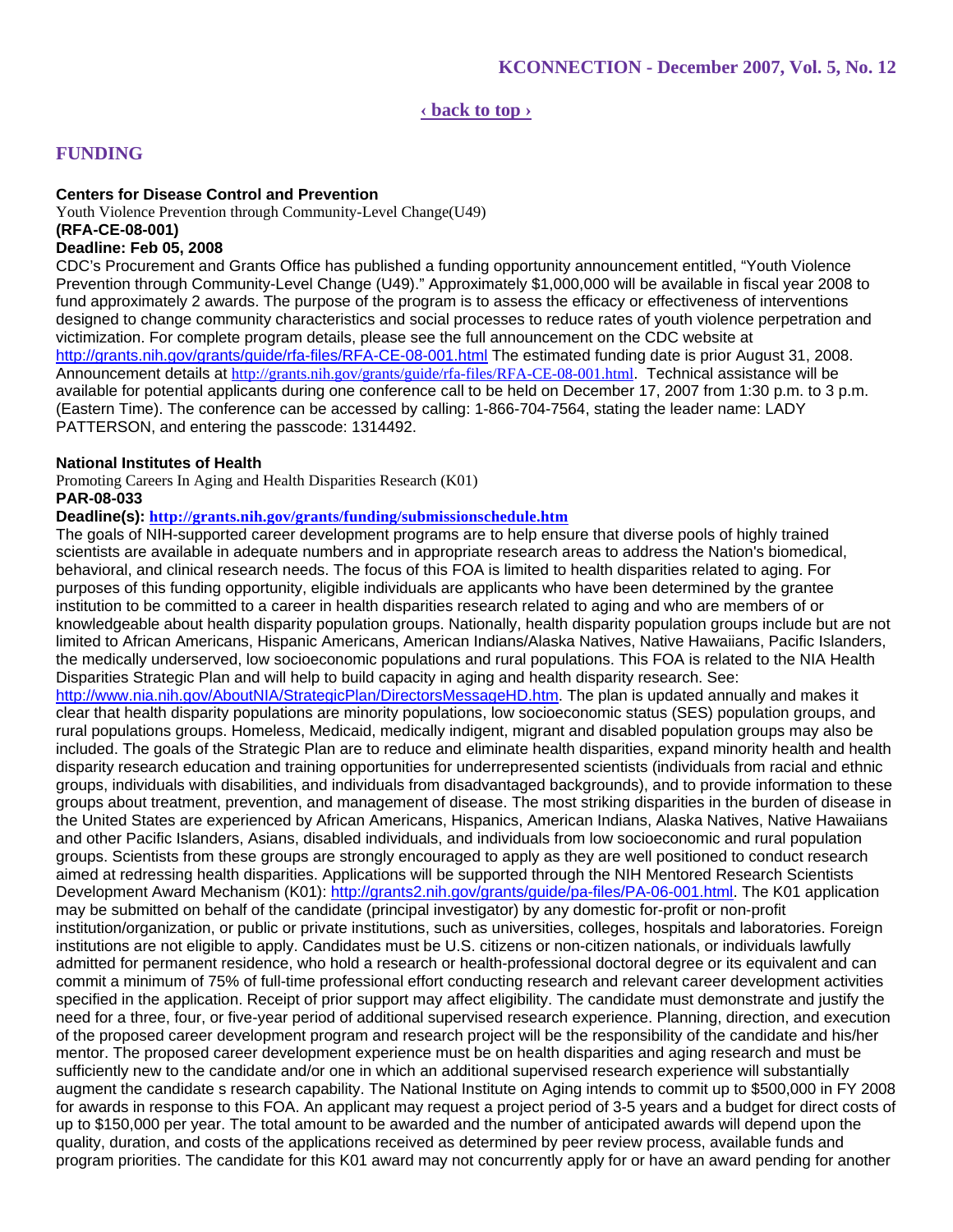# **‹ back to top ›**

# **FUNDING**

# **Centers for Disease Control and Prevention**

Youth Violence Prevention through Community-Level Change(U49) **(RFA-CE-08-001) Deadline: Feb 05, 2008**

CDC's Procurement and Grants Office has published a funding opportunity announcement entitled, "Youth Violence Prevention through Community-Level Change (U49)." Approximately \$1,000,000 will be available in fiscal year 2008 to fund approximately 2 awards. The purpose of the program is to assess the efficacy or effectiveness of interventions designed to change community characteristics and social processes to reduce rates of youth violence perpetration and victimization. For complete program details, please see the full announcement on the CDC website at http://grants.nih.gov/grants/guide/rfa-files/RFA-CE-08-001.html The estimated funding date is prior August 31, 2008. Announcement details at http://grants.nih.gov/grants/guide/rfa-files/RFA-CE-08-001.html. Technical assistance will be available for potential applicants during one conference call to be held on December 17, 2007 from 1:30 p.m. to 3 p.m. (Eastern Time). The conference can be accessed by calling: 1-866-704-7564, stating the leader name: LADY PATTERSON, and entering the passcode: 1314492.

### **National Institutes of Health**

Promoting Careers In Aging and Health Disparities Research (K01) **PAR-08-033**

### **Deadline(s): http://grants.nih.gov/grants/funding/submissionschedule.htm**

The goals of NIH-supported career development programs are to help ensure that diverse pools of highly trained scientists are available in adequate numbers and in appropriate research areas to address the Nation's biomedical, behavioral, and clinical research needs. The focus of this FOA is limited to health disparities related to aging. For purposes of this funding opportunity, eligible individuals are applicants who have been determined by the grantee institution to be committed to a career in health disparities research related to aging and who are members of or knowledgeable about health disparity population groups. Nationally, health disparity population groups include but are not limited to African Americans, Hispanic Americans, American Indians/Alaska Natives, Native Hawaiians, Pacific Islanders, the medically underserved, low socioeconomic populations and rural populations. This FOA is related to the NIA Health Disparities Strategic Plan and will help to build capacity in aging and health disparity research. See: http://www.nia.nih.gov/AboutNIA/StrategicPlan/DirectorsMessageHD.htm. The plan is updated annually and makes it clear that health disparity populations are minority populations, low socioeconomic status (SES) population groups, and rural populations groups. Homeless, Medicaid, medically indigent, migrant and disabled population groups may also be included. The goals of the Strategic Plan are to reduce and eliminate health disparities, expand minority health and health disparity research education and training opportunities for underrepresented scientists (individuals from racial and ethnic groups, individuals with disabilities, and individuals from disadvantaged backgrounds), and to provide information to these groups about treatment, prevention, and management of disease. The most striking disparities in the burden of disease in the United States are experienced by African Americans, Hispanics, American Indians, Alaska Natives, Native Hawaiians and other Pacific Islanders, Asians, disabled individuals, and individuals from low socioeconomic and rural population groups. Scientists from these groups are strongly encouraged to apply as they are well positioned to conduct research aimed at redressing health disparities. Applications will be supported through the NIH Mentored Research Scientists Development Award Mechanism (K01): http://grants2.nih.gov/grants/guide/pa-files/PA-06-001.html. The K01 application may be submitted on behalf of the candidate (principal investigator) by any domestic for-profit or non-profit institution/organization, or public or private institutions, such as universities, colleges, hospitals and laboratories. Foreign institutions are not eligible to apply. Candidates must be U.S. citizens or non-citizen nationals, or individuals lawfully admitted for permanent residence, who hold a research or health-professional doctoral degree or its equivalent and can commit a minimum of 75% of full-time professional effort conducting research and relevant career development activities specified in the application. Receipt of prior support may affect eligibility. The candidate must demonstrate and justify the need for a three, four, or five-year period of additional supervised research experience. Planning, direction, and execution of the proposed career development program and research project will be the responsibility of the candidate and his/her mentor. The proposed career development experience must be on health disparities and aging research and must be sufficiently new to the candidate and/or one in which an additional supervised research experience will substantially augment the candidate s research capability. The National Institute on Aging intends to commit up to \$500,000 in FY 2008 for awards in response to this FOA. An applicant may request a project period of 3-5 years and a budget for direct costs of up to \$150,000 per year. The total amount to be awarded and the number of anticipated awards will depend upon the quality, duration, and costs of the applications received as determined by peer review process, available funds and program priorities. The candidate for this K01 award may not concurrently apply for or have an award pending for another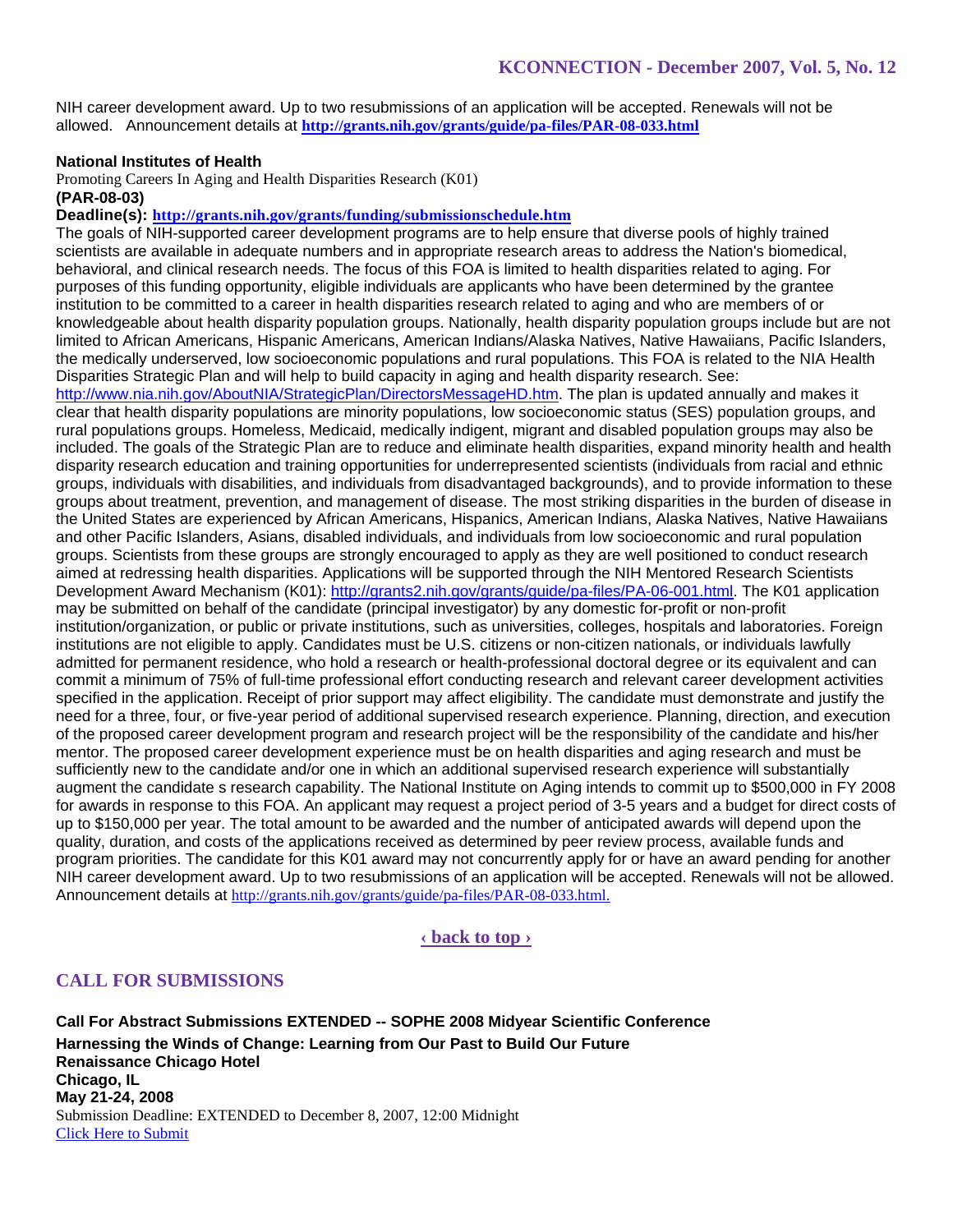NIH career development award. Up to two resubmissions of an application will be accepted. Renewals will not be allowed. Announcement details at **http://grants.nih.gov/grants/guide/pa-files/PAR-08-033.html** 

### **National Institutes of Health**

Promoting Careers In Aging and Health Disparities Research (K01) **(PAR-08-03)**

**Deadline(s): http://grants.nih.gov/grants/funding/submissionschedule.htm** 

The goals of NIH-supported career development programs are to help ensure that diverse pools of highly trained scientists are available in adequate numbers and in appropriate research areas to address the Nation's biomedical, behavioral, and clinical research needs. The focus of this FOA is limited to health disparities related to aging. For purposes of this funding opportunity, eligible individuals are applicants who have been determined by the grantee institution to be committed to a career in health disparities research related to aging and who are members of or knowledgeable about health disparity population groups. Nationally, health disparity population groups include but are not limited to African Americans, Hispanic Americans, American Indians/Alaska Natives, Native Hawaiians, Pacific Islanders, the medically underserved, low socioeconomic populations and rural populations. This FOA is related to the NIA Health Disparities Strategic Plan and will help to build capacity in aging and health disparity research. See: http://www.nia.nih.gov/AboutNIA/StrategicPlan/DirectorsMessageHD.htm. The plan is updated annually and makes it clear that health disparity populations are minority populations, low socioeconomic status (SES) population groups, and rural populations groups. Homeless, Medicaid, medically indigent, migrant and disabled population groups may also be included. The goals of the Strategic Plan are to reduce and eliminate health disparities, expand minority health and health disparity research education and training opportunities for underrepresented scientists (individuals from racial and ethnic groups, individuals with disabilities, and individuals from disadvantaged backgrounds), and to provide information to these groups about treatment, prevention, and management of disease. The most striking disparities in the burden of disease in the United States are experienced by African Americans, Hispanics, American Indians, Alaska Natives, Native Hawaiians and other Pacific Islanders, Asians, disabled individuals, and individuals from low socioeconomic and rural population groups. Scientists from these groups are strongly encouraged to apply as they are well positioned to conduct research aimed at redressing health disparities. Applications will be supported through the NIH Mentored Research Scientists Development Award Mechanism (K01): http://grants2.nih.gov/grants/guide/pa-files/PA-06-001.html. The K01 application may be submitted on behalf of the candidate (principal investigator) by any domestic for-profit or non-profit institution/organization, or public or private institutions, such as universities, colleges, hospitals and laboratories. Foreign institutions are not eligible to apply. Candidates must be U.S. citizens or non-citizen nationals, or individuals lawfully admitted for permanent residence, who hold a research or health-professional doctoral degree or its equivalent and can commit a minimum of 75% of full-time professional effort conducting research and relevant career development activities specified in the application. Receipt of prior support may affect eligibility. The candidate must demonstrate and justify the need for a three, four, or five-year period of additional supervised research experience. Planning, direction, and execution of the proposed career development program and research project will be the responsibility of the candidate and his/her mentor. The proposed career development experience must be on health disparities and aging research and must be sufficiently new to the candidate and/or one in which an additional supervised research experience will substantially augment the candidate s research capability. The National Institute on Aging intends to commit up to \$500,000 in FY 2008 for awards in response to this FOA. An applicant may request a project period of 3-5 years and a budget for direct costs of up to \$150,000 per year. The total amount to be awarded and the number of anticipated awards will depend upon the quality, duration, and costs of the applications received as determined by peer review process, available funds and program priorities. The candidate for this K01 award may not concurrently apply for or have an award pending for another NIH career development award. Up to two resubmissions of an application will be accepted. Renewals will not be allowed. Announcement details at http://grants.nih.gov/grants/guide/pa-files/PAR-08-033.html.

**‹ back to top ›**

# **CALL FOR SUBMISSIONS**

**Call For Abstract Submissions EXTENDED -- SOPHE 2008 Midyear Scientific Conference Harnessing the Winds of Change: Learning from Our Past to Build Our Future Renaissance Chicago Hotel Chicago, IL May 21-24, 2008** Submission Deadline: EXTENDED to December 8, 2007, 12:00 Midnight Click Here to Submit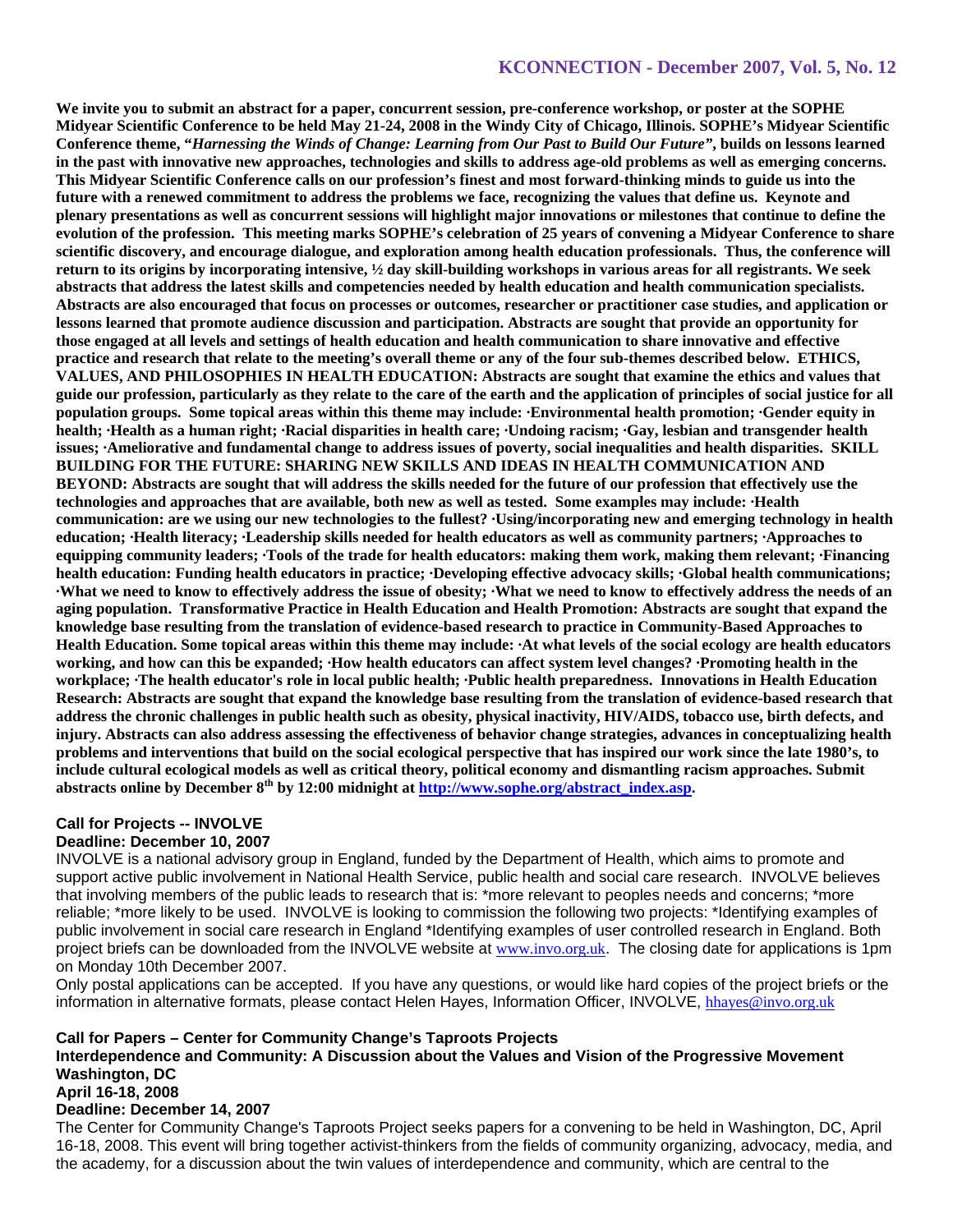**We invite you to submit an abstract for a paper, concurrent session, pre-conference workshop, or poster at the SOPHE Midyear Scientific Conference to be held May 21-24, 2008 in the Windy City of Chicago, Illinois. SOPHE's Midyear Scientific Conference theme, "***Harnessing the Winds of Change: Learning from Our Past to Build Our Future"***, builds on lessons learned in the past with innovative new approaches, technologies and skills to address age-old problems as well as emerging concerns. This Midyear Scientific Conference calls on our profession's finest and most forward-thinking minds to guide us into the future with a renewed commitment to address the problems we face, recognizing the values that define us. Keynote and plenary presentations as well as concurrent sessions will highlight major innovations or milestones that continue to define the evolution of the profession. This meeting marks SOPHE's celebration of 25 years of convening a Midyear Conference to share scientific discovery, and encourage dialogue, and exploration among health education professionals. Thus, the conference will return to its origins by incorporating intensive, ½ day skill-building workshops in various areas for all registrants. We seek abstracts that address the latest skills and competencies needed by health education and health communication specialists. Abstracts are also encouraged that focus on processes or outcomes, researcher or practitioner case studies, and application or lessons learned that promote audience discussion and participation. Abstracts are sought that provide an opportunity for those engaged at all levels and settings of health education and health communication to share innovative and effective practice and research that relate to the meeting's overall theme or any of the four sub-themes described below. ETHICS, VALUES, AND PHILOSOPHIES IN HEALTH EDUCATION: Abstracts are sought that examine the ethics and values that guide our profession, particularly as they relate to the care of the earth and the application of principles of social justice for all population groups. Some topical areas within this theme may include: ·Environmental health promotion; ·Gender equity in health; ·Health as a human right; ·Racial disparities in health care; ·Undoing racism; ·Gay, lesbian and transgender health issues; ·Ameliorative and fundamental change to address issues of poverty, social inequalities and health disparities. SKILL BUILDING FOR THE FUTURE: SHARING NEW SKILLS AND IDEAS IN HEALTH COMMUNICATION AND BEYOND: Abstracts are sought that will address the skills needed for the future of our profession that effectively use the technologies and approaches that are available, both new as well as tested. Some examples may include: ·Health communication: are we using our new technologies to the fullest? ·Using/incorporating new and emerging technology in health education; ·Health literacy; ·Leadership skills needed for health educators as well as community partners; ·Approaches to equipping community leaders; ·Tools of the trade for health educators: making them work, making them relevant; ·Financing health education: Funding health educators in practice; ·Developing effective advocacy skills; ·Global health communications; ·What we need to know to effectively address the issue of obesity; ·What we need to know to effectively address the needs of an aging population. Transformative Practice in Health Education and Health Promotion: Abstracts are sought that expand the knowledge base resulting from the translation of evidence-based research to practice in Community-Based Approaches to Health Education. Some topical areas within this theme may include: ·At what levels of the social ecology are health educators working, and how can this be expanded; ·How health educators can affect system level changes? ·Promoting health in the workplace; ·The health educator's role in local public health; ·Public health preparedness. Innovations in Health Education Research: Abstracts are sought that expand the knowledge base resulting from the translation of evidence-based research that address the chronic challenges in public health such as obesity, physical inactivity, HIV/AIDS, tobacco use, birth defects, and injury. Abstracts can also address assessing the effectiveness of behavior change strategies, advances in conceptualizing health problems and interventions that build on the social ecological perspective that has inspired our work since the late 1980's, to include cultural ecological models as well as critical theory, political economy and dismantling racism approaches. Submit abstracts online by December 8th by 12:00 midnight at http://www.sophe.org/abstract\_index.asp.**

# **Call for Projects -- INVOLVE**

### **Deadline: December 10, 2007**

INVOLVE is a national advisory group in England, funded by the Department of Health, which aims to promote and support active public involvement in National Health Service, public health and social care research. INVOLVE believes that involving members of the public leads to research that is: \*more relevant to peoples needs and concerns; \*more reliable; \*more likely to be used. INVOLVE is looking to commission the following two projects: \*Identifying examples of public involvement in social care research in England \*Identifying examples of user controlled research in England. Both project briefs can be downloaded from the INVOLVE website at www.invo.org.uk. The closing date for applications is 1pm on Monday 10th December 2007.

Only postal applications can be accepted. If you have any questions, or would like hard copies of the project briefs or the information in alternative formats, please contact Helen Hayes, Information Officer, INVOLVE, hhayes@invo.org.uk

#### **Call for Papers – Center for Community Change's Taproots Projects**

**Interdependence and Community: A Discussion about the Values and Vision of the Progressive Movement Washington, DC**

#### **April 16-18, 2008**

#### **Deadline: December 14, 2007**

The Center for Community Change's Taproots Project seeks papers for a convening to be held in Washington, DC, April 16-18, 2008. This event will bring together activist-thinkers from the fields of community organizing, advocacy, media, and the academy, for a discussion about the twin values of interdependence and community, which are central to the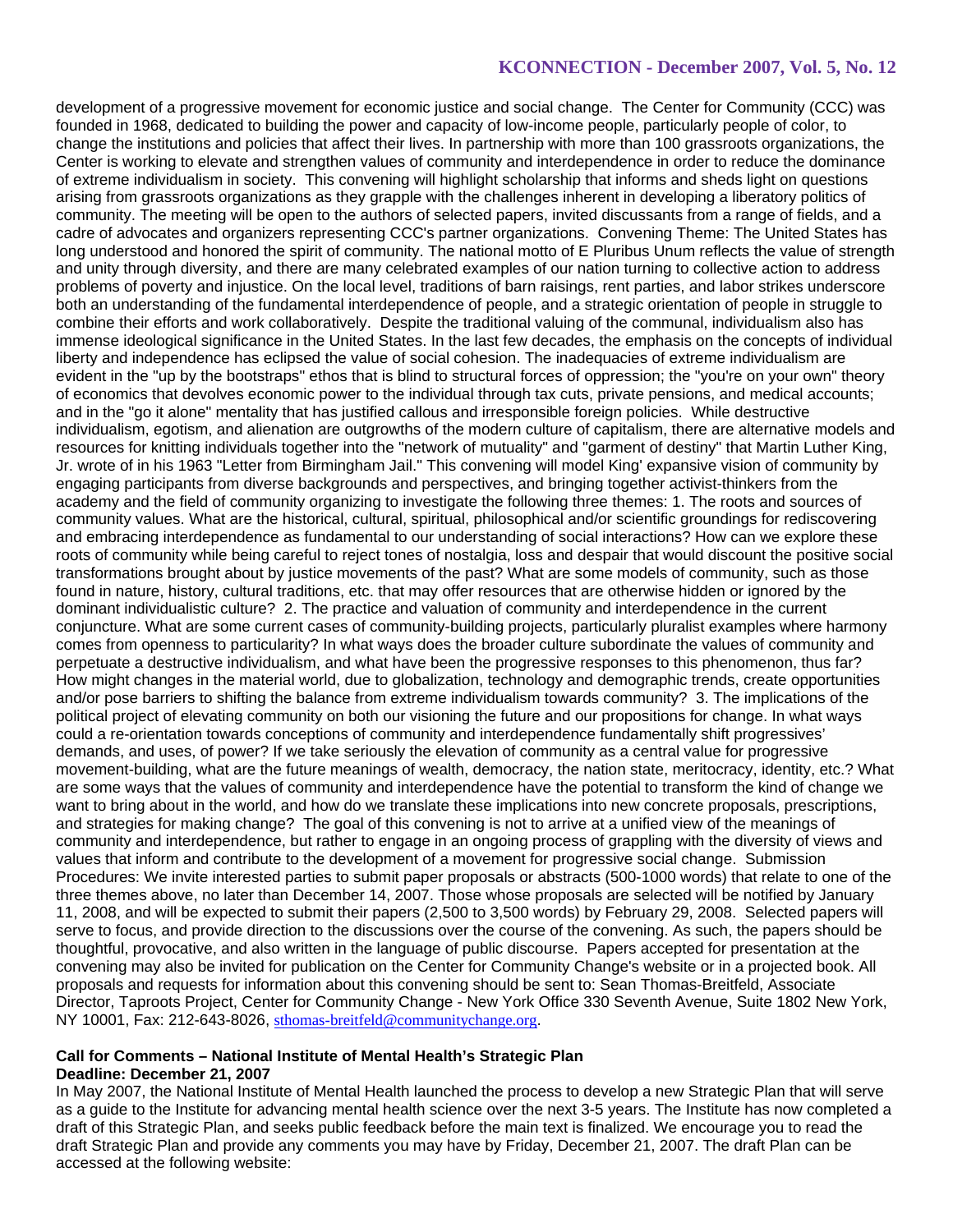development of a progressive movement for economic justice and social change. The Center for Community (CCC) was founded in 1968, dedicated to building the power and capacity of low-income people, particularly people of color, to change the institutions and policies that affect their lives. In partnership with more than 100 grassroots organizations, the Center is working to elevate and strengthen values of community and interdependence in order to reduce the dominance of extreme individualism in society. This convening will highlight scholarship that informs and sheds light on questions arising from grassroots organizations as they grapple with the challenges inherent in developing a liberatory politics of community. The meeting will be open to the authors of selected papers, invited discussants from a range of fields, and a cadre of advocates and organizers representing CCC's partner organizations. Convening Theme: The United States has long understood and honored the spirit of community. The national motto of E Pluribus Unum reflects the value of strength and unity through diversity, and there are many celebrated examples of our nation turning to collective action to address problems of poverty and injustice. On the local level, traditions of barn raisings, rent parties, and labor strikes underscore both an understanding of the fundamental interdependence of people, and a strategic orientation of people in struggle to combine their efforts and work collaboratively. Despite the traditional valuing of the communal, individualism also has immense ideological significance in the United States. In the last few decades, the emphasis on the concepts of individual liberty and independence has eclipsed the value of social cohesion. The inadequacies of extreme individualism are evident in the "up by the bootstraps" ethos that is blind to structural forces of oppression; the "you're on your own" theory of economics that devolves economic power to the individual through tax cuts, private pensions, and medical accounts; and in the "go it alone" mentality that has justified callous and irresponsible foreign policies. While destructive individualism, egotism, and alienation are outgrowths of the modern culture of capitalism, there are alternative models and resources for knitting individuals together into the "network of mutuality" and "garment of destiny" that Martin Luther King, Jr. wrote of in his 1963 "Letter from Birmingham Jail." This convening will model King' expansive vision of community by engaging participants from diverse backgrounds and perspectives, and bringing together activist-thinkers from the academy and the field of community organizing to investigate the following three themes: 1. The roots and sources of community values. What are the historical, cultural, spiritual, philosophical and/or scientific groundings for rediscovering and embracing interdependence as fundamental to our understanding of social interactions? How can we explore these roots of community while being careful to reject tones of nostalgia, loss and despair that would discount the positive social transformations brought about by justice movements of the past? What are some models of community, such as those found in nature, history, cultural traditions, etc. that may offer resources that are otherwise hidden or ignored by the dominant individualistic culture? 2. The practice and valuation of community and interdependence in the current conjuncture. What are some current cases of community-building projects, particularly pluralist examples where harmony comes from openness to particularity? In what ways does the broader culture subordinate the values of community and perpetuate a destructive individualism, and what have been the progressive responses to this phenomenon, thus far? How might changes in the material world, due to globalization, technology and demographic trends, create opportunities and/or pose barriers to shifting the balance from extreme individualism towards community? 3. The implications of the political project of elevating community on both our visioning the future and our propositions for change. In what ways could a re-orientation towards conceptions of community and interdependence fundamentally shift progressives' demands, and uses, of power? If we take seriously the elevation of community as a central value for progressive movement-building, what are the future meanings of wealth, democracy, the nation state, meritocracy, identity, etc.? What are some ways that the values of community and interdependence have the potential to transform the kind of change we want to bring about in the world, and how do we translate these implications into new concrete proposals, prescriptions, and strategies for making change? The goal of this convening is not to arrive at a unified view of the meanings of community and interdependence, but rather to engage in an ongoing process of grappling with the diversity of views and values that inform and contribute to the development of a movement for progressive social change. Submission Procedures: We invite interested parties to submit paper proposals or abstracts (500-1000 words) that relate to one of the three themes above, no later than December 14, 2007. Those whose proposals are selected will be notified by January 11, 2008, and will be expected to submit their papers (2,500 to 3,500 words) by February 29, 2008. Selected papers will serve to focus, and provide direction to the discussions over the course of the convening. As such, the papers should be thoughtful, provocative, and also written in the language of public discourse. Papers accepted for presentation at the convening may also be invited for publication on the Center for Community Change's website or in a projected book. All proposals and requests for information about this convening should be sent to: Sean Thomas-Breitfeld, Associate Director, Taproots Project, Center for Community Change - New York Office 330 Seventh Avenue, Suite 1802 New York, NY 10001, Fax: 212-643-8026, sthomas-breitfeld@communitychange.org.

#### **Call for Comments – National Institute of Mental Health's Strategic Plan Deadline: December 21, 2007**

In May 2007, the National Institute of Mental Health launched the process to develop a new Strategic Plan that will serve as a guide to the Institute for advancing mental health science over the next 3-5 years. The Institute has now completed a draft of this Strategic Plan, and seeks public feedback before the main text is finalized. We encourage you to read the draft Strategic Plan and provide any comments you may have by Friday, December 21, 2007. The draft Plan can be accessed at the following website: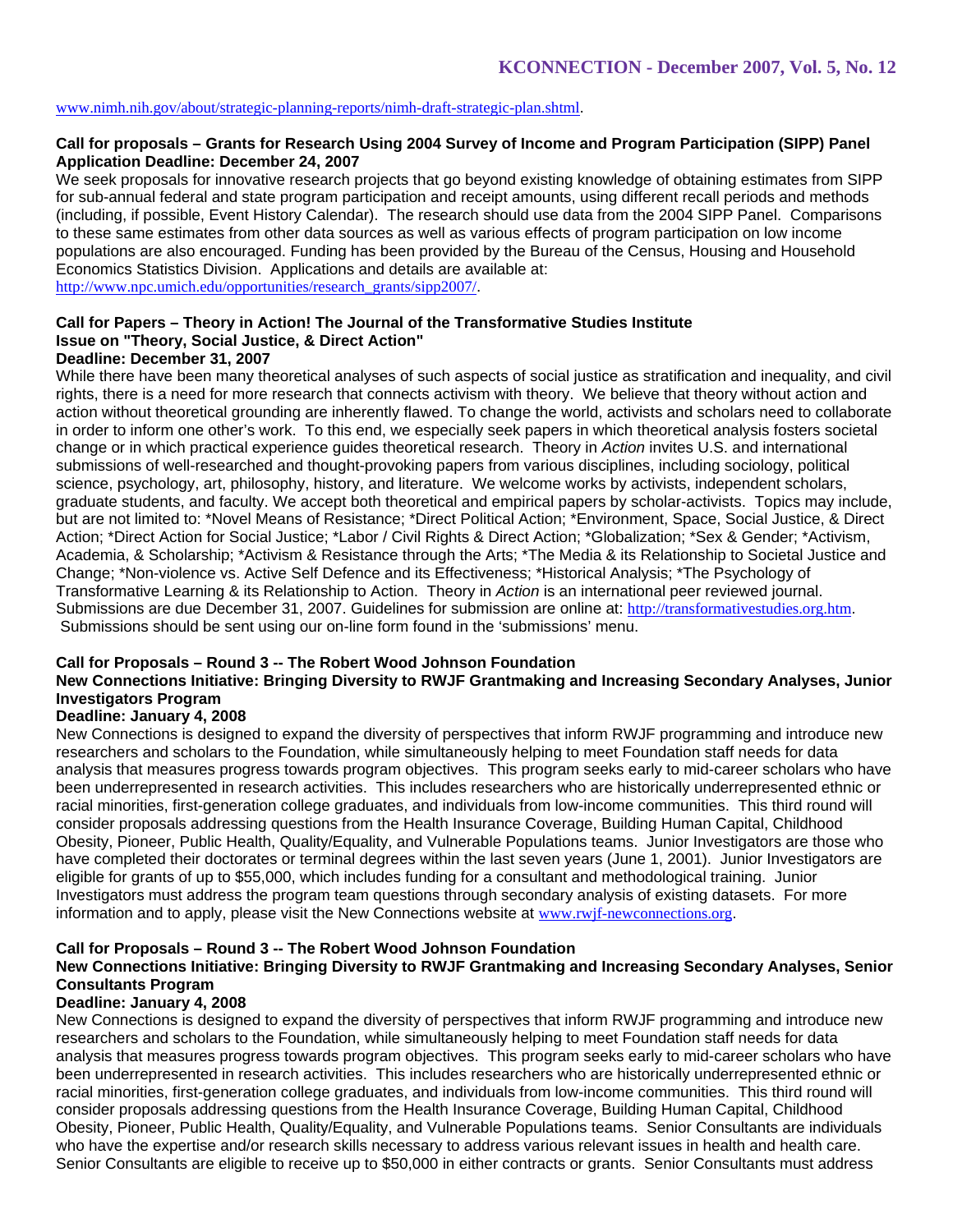### www.nimh.nih.gov/about/strategic-planning-reports/nimh-draft-strategic-plan.shtml.

### **Call for proposals – Grants for Research Using 2004 Survey of Income and Program Participation (SIPP) Panel Application Deadline: December 24, 2007**

We seek proposals for innovative research projects that go beyond existing knowledge of obtaining estimates from SIPP for sub-annual federal and state program participation and receipt amounts, using different recall periods and methods (including, if possible, Event History Calendar). The research should use data from the 2004 SIPP Panel. Comparisons to these same estimates from other data sources as well as various effects of program participation on low income populations are also encouraged. Funding has been provided by the Bureau of the Census, Housing and Household Economics Statistics Division.Applications and details are available at: http://www.npc.umich.edu/opportunities/research\_grants/sipp2007/.

# **Call for Papers – Theory in Action! The Journal of the Transformative Studies Institute Issue on "Theory, Social Justice, & Direct Action"**

# **Deadline: December 31, 2007**

While there have been many theoretical analyses of such aspects of social justice as stratification and inequality, and civil rights, there is a need for more research that connects activism with theory. We believe that theory without action and action without theoretical grounding are inherently flawed. To change the world, activists and scholars need to collaborate in order to inform one other's work. To this end, we especially seek papers in which theoretical analysis fosters societal change or in which practical experience guides theoretical research. Theory in *Action* invites U.S. and international submissions of well-researched and thought-provoking papers from various disciplines, including sociology, political science, psychology, art, philosophy, history, and literature. We welcome works by activists, independent scholars, graduate students, and faculty. We accept both theoretical and empirical papers by scholar-activists. Topics may include, but are not limited to: \*Novel Means of Resistance; \*Direct Political Action; \*Environment, Space, Social Justice, & Direct Action; \*Direct Action for Social Justice; \*Labor / Civil Rights & Direct Action; \*Globalization; \*Sex & Gender; \*Activism, Academia, & Scholarship; \*Activism & Resistance through the Arts; \*The Media & its Relationship to Societal Justice and Change; \*Non-violence vs. Active Self Defence and its Effectiveness; \*Historical Analysis; \*The Psychology of Transformative Learning & its Relationship to Action. Theory in *Action* is an international peer reviewed journal. Submissions are due December 31, 2007. Guidelines for submission are online at: http://transformativestudies.org.htm. Submissions should be sent using our on-line form found in the 'submissions' menu.

### **Call for Proposals – Round 3 -- The Robert Wood Johnson Foundation**

# **New Connections Initiative: Bringing Diversity to RWJF Grantmaking and Increasing Secondary Analyses, Junior Investigators Program**

### **Deadline: January 4, 2008**

New Connections is designed to expand the diversity of perspectives that inform RWJF programming and introduce new researchers and scholars to the Foundation, while simultaneously helping to meet Foundation staff needs for data analysis that measures progress towards program objectives. This program seeks early to mid-career scholars who have been underrepresented in research activities. This includes researchers who are historically underrepresented ethnic or racial minorities, first-generation college graduates, and individuals from low-income communities. This third round will consider proposals addressing questions from the Health Insurance Coverage, Building Human Capital, Childhood Obesity, Pioneer, Public Health, Quality/Equality, and Vulnerable Populations teams. Junior Investigators are those who have completed their doctorates or terminal degrees within the last seven years (June 1, 2001). Junior Investigators are eligible for grants of up to \$55,000, which includes funding for a consultant and methodological training. Junior Investigators must address the program team questions through secondary analysis of existing datasets. For more information and to apply, please visit the New Connections website at www.rwjf-newconnections.org.

#### **Call for Proposals – Round 3 -- The Robert Wood Johnson Foundation**

# **New Connections Initiative: Bringing Diversity to RWJF Grantmaking and Increasing Secondary Analyses, Senior Consultants Program**

#### **Deadline: January 4, 2008**

New Connections is designed to expand the diversity of perspectives that inform RWJF programming and introduce new researchers and scholars to the Foundation, while simultaneously helping to meet Foundation staff needs for data analysis that measures progress towards program objectives. This program seeks early to mid-career scholars who have been underrepresented in research activities. This includes researchers who are historically underrepresented ethnic or racial minorities, first-generation college graduates, and individuals from low-income communities. This third round will consider proposals addressing questions from the Health Insurance Coverage, Building Human Capital, Childhood Obesity, Pioneer, Public Health, Quality/Equality, and Vulnerable Populations teams. Senior Consultants are individuals who have the expertise and/or research skills necessary to address various relevant issues in health and health care. Senior Consultants are eligible to receive up to \$50,000 in either contracts or grants. Senior Consultants must address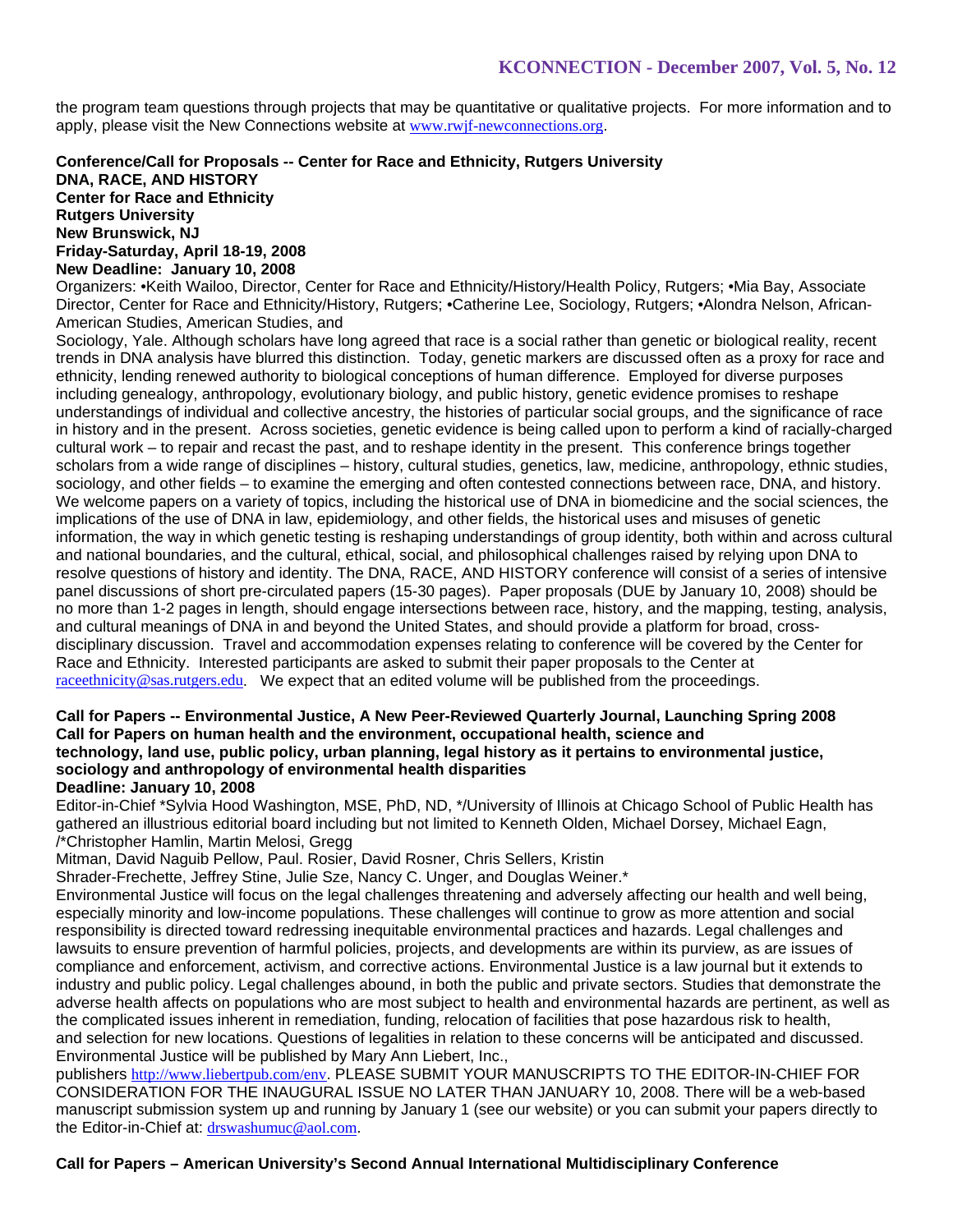the program team questions through projects that may be quantitative or qualitative projects. For more information and to apply, please visit the New Connections website at www.rwjf-newconnections.org.

### **Conference/Call for Proposals -- Center for Race and Ethnicity, Rutgers University DNA, RACE, AND HISTORY Center for Race and Ethnicity Rutgers University New Brunswick, NJ**

**Friday-Saturday, April 18-19, 2008 New Deadline: January 10, 2008**

Organizers: •Keith Wailoo, Director, Center for Race and Ethnicity/History/Health Policy, Rutgers; •Mia Bay, Associate Director, Center for Race and Ethnicity/History, Rutgers; •Catherine Lee, Sociology, Rutgers; •Alondra Nelson, African-American Studies, American Studies, and

Sociology, Yale. Although scholars have long agreed that race is a social rather than genetic or biological reality, recent trends in DNA analysis have blurred this distinction. Today, genetic markers are discussed often as a proxy for race and ethnicity, lending renewed authority to biological conceptions of human difference. Employed for diverse purposes including genealogy, anthropology, evolutionary biology, and public history, genetic evidence promises to reshape understandings of individual and collective ancestry, the histories of particular social groups, and the significance of race in history and in the present. Across societies, genetic evidence is being called upon to perform a kind of racially-charged cultural work – to repair and recast the past, and to reshape identity in the present. This conference brings together scholars from a wide range of disciplines – history, cultural studies, genetics, law, medicine, anthropology, ethnic studies, sociology, and other fields – to examine the emerging and often contested connections between race, DNA, and history. We welcome papers on a variety of topics, including the historical use of DNA in biomedicine and the social sciences, the implications of the use of DNA in law, epidemiology, and other fields, the historical uses and misuses of genetic information, the way in which genetic testing is reshaping understandings of group identity, both within and across cultural and national boundaries, and the cultural, ethical, social, and philosophical challenges raised by relying upon DNA to resolve questions of history and identity. The DNA, RACE, AND HISTORY conference will consist of a series of intensive panel discussions of short pre-circulated papers (15-30 pages). Paper proposals (DUE by January 10, 2008) should be no more than 1-2 pages in length, should engage intersections between race, history, and the mapping, testing, analysis, and cultural meanings of DNA in and beyond the United States, and should provide a platform for broad, crossdisciplinary discussion. Travel and accommodation expenses relating to conference will be covered by the Center for Race and Ethnicity. Interested participants are asked to submit their paper proposals to the Center at raceethnicity@sas.rutgers.edu. We expect that an edited volume will be published from the proceedings.

#### **Call for Papers -- Environmental Justice, A New Peer-Reviewed Quarterly Journal, Launching Spring 2008 Call for Papers on human health and the environment, occupational health, science and technology, land use, public policy, urban planning, legal history as it pertains to environmental justice, sociology and anthropology of environmental health disparities Deadline: January 10, 2008**

Editor-in-Chief \*Sylvia Hood Washington, MSE, PhD, ND, \*/University of Illinois at Chicago School of Public Health has gathered an illustrious editorial board including but not limited to Kenneth Olden, Michael Dorsey, Michael Eagn, /\*Christopher Hamlin, Martin Melosi, Gregg

Mitman, David Naguib Pellow, Paul. Rosier, David Rosner, Chris Sellers, Kristin

Shrader-Frechette, Jeffrey Stine, Julie Sze, Nancy C. Unger, and Douglas Weiner.\*

Environmental Justice will focus on the legal challenges threatening and adversely affecting our health and well being, especially minority and low-income populations. These challenges will continue to grow as more attention and social responsibility is directed toward redressing inequitable environmental practices and hazards. Legal challenges and lawsuits to ensure prevention of harmful policies, projects, and developments are within its purview, as are issues of compliance and enforcement, activism, and corrective actions. Environmental Justice is a law journal but it extends to industry and public policy. Legal challenges abound, in both the public and private sectors. Studies that demonstrate the adverse health affects on populations who are most subject to health and environmental hazards are pertinent, as well as the complicated issues inherent in remediation, funding, relocation of facilities that pose hazardous risk to health, and selection for new locations. Questions of legalities in relation to these concerns will be anticipated and discussed. Environmental Justice will be published by Mary Ann Liebert, Inc.,

publishers http://www.liebertpub.com/env. PLEASE SUBMIT YOUR MANUSCRIPTS TO THE EDITOR-IN-CHIEF FOR CONSIDERATION FOR THE INAUGURAL ISSUE NO LATER THAN JANUARY 10, 2008. There will be a web-based manuscript submission system up and running by January 1 (see our website) or you can submit your papers directly to the Editor-in-Chief at: drswashumuc@aol.com.

# **Call for Papers – American University's Second Annual International Multidisciplinary Conference**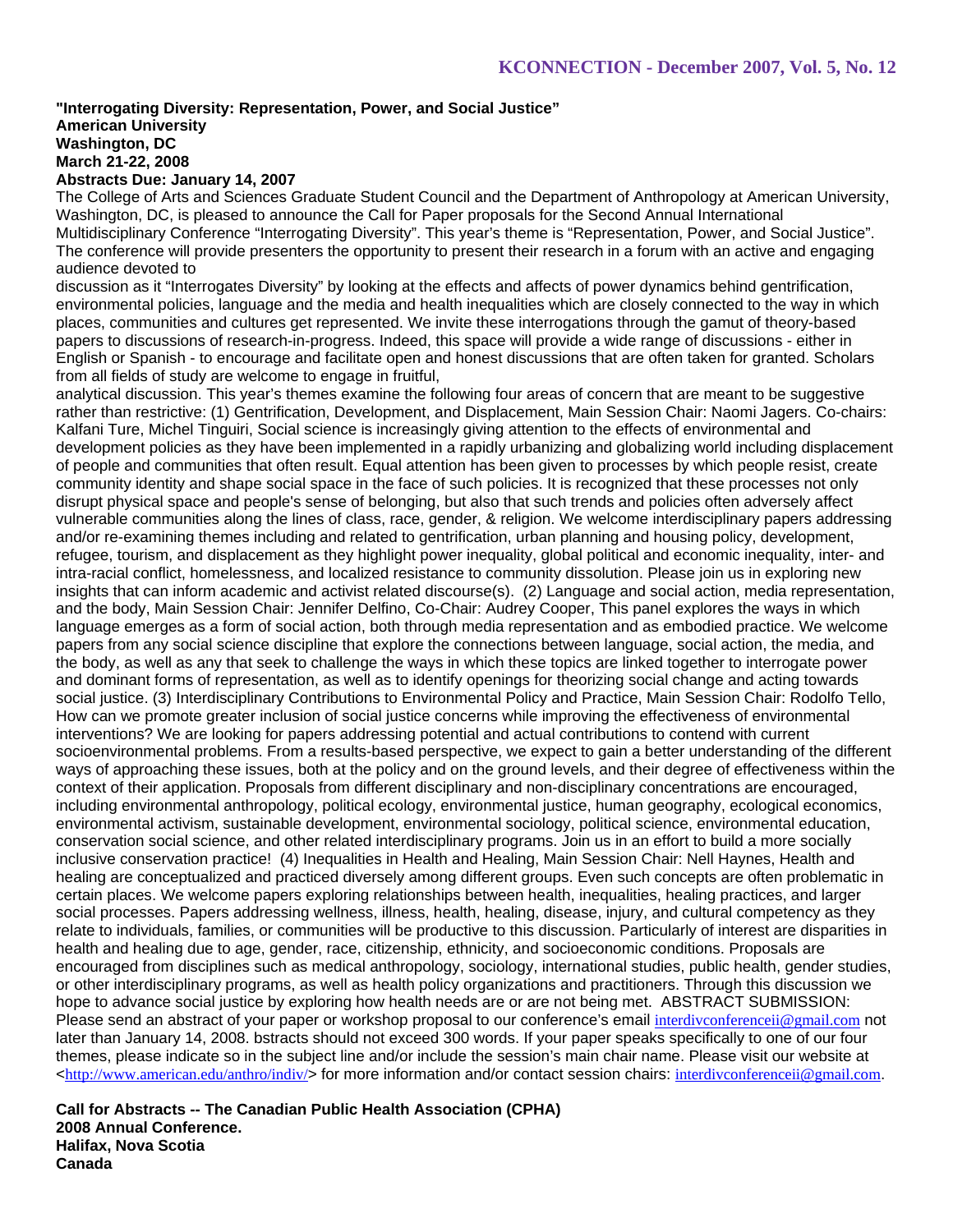# **"Interrogating Diversity: Representation, Power, and Social Justice" American University Washington, DC March 21-22, 2008**

# **Abstracts Due: January 14, 2007**

The College of Arts and Sciences Graduate Student Council and the Department of Anthropology at American University, Washington, DC, is pleased to announce the Call for Paper proposals for the Second Annual International Multidisciplinary Conference "Interrogating Diversity". This year's theme is "Representation, Power, and Social Justice". The conference will provide presenters the opportunity to present their research in a forum with an active and engaging audience devoted to

discussion as it "Interrogates Diversity" by looking at the effects and affects of power dynamics behind gentrification, environmental policies, language and the media and health inequalities which are closely connected to the way in which places, communities and cultures get represented. We invite these interrogations through the gamut of theory-based papers to discussions of research-in-progress. Indeed, this space will provide a wide range of discussions - either in English or Spanish - to encourage and facilitate open and honest discussions that are often taken for granted. Scholars from all fields of study are welcome to engage in fruitful,

analytical discussion. This year's themes examine the following four areas of concern that are meant to be suggestive rather than restrictive: (1) Gentrification, Development, and Displacement, Main Session Chair: Naomi Jagers. Co-chairs: Kalfani Ture, Michel Tinguiri, Social science is increasingly giving attention to the effects of environmental and development policies as they have been implemented in a rapidly urbanizing and globalizing world including displacement of people and communities that often result. Equal attention has been given to processes by which people resist, create community identity and shape social space in the face of such policies. It is recognized that these processes not only disrupt physical space and people's sense of belonging, but also that such trends and policies often adversely affect vulnerable communities along the lines of class, race, gender, & religion. We welcome interdisciplinary papers addressing and/or re-examining themes including and related to gentrification, urban planning and housing policy, development, refugee, tourism, and displacement as they highlight power inequality, global political and economic inequality, inter- and intra-racial conflict, homelessness, and localized resistance to community dissolution. Please join us in exploring new insights that can inform academic and activist related discourse(s). (2) Language and social action, media representation, and the body, Main Session Chair: Jennifer Delfino, Co-Chair: Audrey Cooper, This panel explores the ways in which language emerges as a form of social action, both through media representation and as embodied practice. We welcome papers from any social science discipline that explore the connections between language, social action, the media, and the body, as well as any that seek to challenge the ways in which these topics are linked together to interrogate power and dominant forms of representation, as well as to identify openings for theorizing social change and acting towards social justice. (3) Interdisciplinary Contributions to Environmental Policy and Practice. Main Session Chair: Rodolfo Tello, How can we promote greater inclusion of social justice concerns while improving the effectiveness of environmental interventions? We are looking for papers addressing potential and actual contributions to contend with current socioenvironmental problems. From a results-based perspective, we expect to gain a better understanding of the different ways of approaching these issues, both at the policy and on the ground levels, and their degree of effectiveness within the context of their application. Proposals from different disciplinary and non-disciplinary concentrations are encouraged, including environmental anthropology, political ecology, environmental justice, human geography, ecological economics, environmental activism, sustainable development, environmental sociology, political science, environmental education, conservation social science, and other related interdisciplinary programs. Join us in an effort to build a more socially inclusive conservation practice! (4) Inequalities in Health and Healing, Main Session Chair: Nell Haynes, Health and healing are conceptualized and practiced diversely among different groups. Even such concepts are often problematic in certain places. We welcome papers exploring relationships between health, inequalities, healing practices, and larger social processes. Papers addressing wellness, illness, health, healing, disease, injury, and cultural competency as they relate to individuals, families, or communities will be productive to this discussion. Particularly of interest are disparities in health and healing due to age, gender, race, citizenship, ethnicity, and socioeconomic conditions. Proposals are encouraged from disciplines such as medical anthropology, sociology, international studies, public health, gender studies, or other interdisciplinary programs, as well as health policy organizations and practitioners. Through this discussion we hope to advance social justice by exploring how health needs are or are not being met. ABSTRACT SUBMISSION: Please send an abstract of your paper or workshop proposal to our conference's email interdivconferenceii@gmail.com not later than January 14, 2008. bstracts should not exceed 300 words. If your paper speaks specifically to one of our four themes, please indicate so in the subject line and/or include the session's main chair name. Please visit our website at  $\text{th}(x)$ /www.american.edu/anthro/indiv/> for more information and/or contact session chairs: interdivconferenceii@gmail.com.

**Call for Abstracts -- The Canadian Public Health Association (CPHA) 2008 Annual Conference. Halifax, Nova Scotia Canada**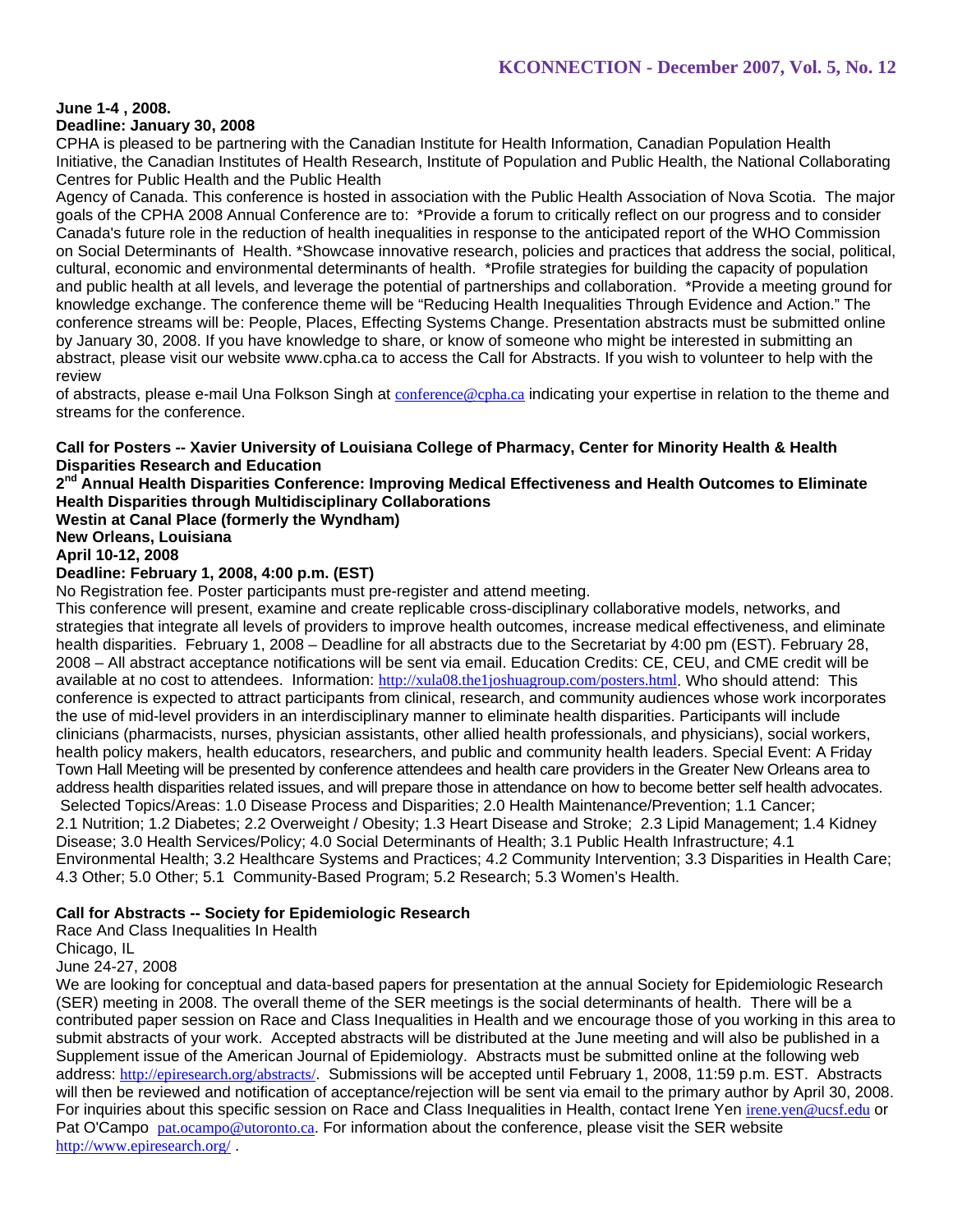# **June 1-4 , 2008.**

#### **Deadline: January 30, 2008**

CPHA is pleased to be partnering with the Canadian Institute for Health Information, Canadian Population Health Initiative, the Canadian Institutes of Health Research, Institute of Population and Public Health, the National Collaborating Centres for Public Health and the Public Health

Agency of Canada. This conference is hosted in association with the Public Health Association of Nova Scotia. The major goals of the CPHA 2008 Annual Conference are to: \*Provide a forum to critically reflect on our progress and to consider Canada's future role in the reduction of health inequalities in response to the anticipated report of the WHO Commission on Social Determinants of Health. \*Showcase innovative research, policies and practices that address the social, political, cultural, economic and environmental determinants of health. \*Profile strategies for building the capacity of population and public health at all levels, and leverage the potential of partnerships and collaboration. \*Provide a meeting ground for knowledge exchange. The conference theme will be "Reducing Health Inequalities Through Evidence and Action." The conference streams will be: People, Places, Effecting Systems Change. Presentation abstracts must be submitted online by January 30, 2008. If you have knowledge to share, or know of someone who might be interested in submitting an abstract, please visit our website www.cpha.ca to access the Call for Abstracts. If you wish to volunteer to help with the review

of abstracts, please e-mail Una Folkson Singh at conference@cpha.ca indicating your expertise in relation to the theme and streams for the conference.

### **Call for Posters -- Xavier University of Louisiana College of Pharmacy, Center for Minority Health & Health Disparities Research and Education**

**2nd Annual Health Disparities Conference: Improving Medical Effectiveness and Health Outcomes to Eliminate Health Disparities through Multidisciplinary Collaborations**

**Westin at Canal Place (formerly the Wyndham)**

### **New Orleans, Louisiana**

# **April 10-12, 2008**

# **Deadline: February 1, 2008, 4:00 p.m. (EST)**

No Registration fee. Poster participants must pre-register and attend meeting.

This conference will present, examine and create replicable cross-disciplinary collaborative models, networks, and strategies that integrate all levels of providers to improve health outcomes, increase medical effectiveness, and eliminate health disparities. February 1, 2008 – Deadline for all abstracts due to the Secretariat by 4:00 pm (EST). February 28, 2008 – All abstract acceptance notifications will be sent via email. Education Credits: CE, CEU, and CME credit will be available at no cost to attendees. Information: http://xula08.the1joshuagroup.com/posters.html. Who should attend: This conference is expected to attract participants from clinical, research, and community audiences whose work incorporates the use of mid-level providers in an interdisciplinary manner to eliminate health disparities. Participants will include clinicians (pharmacists, nurses, physician assistants, other allied health professionals, and physicians), social workers, health policy makers, health educators, researchers, and public and community health leaders. Special Event: A Friday Town Hall Meeting will be presented by conference attendees and health care providers in the Greater New Orleans area to address health disparities related issues, and will prepare those in attendance on how to become better self health advocates. Selected Topics/Areas: 1.0 Disease Process and Disparities; 2.0 Health Maintenance/Prevention; 1.1 Cancer; 2.1 Nutrition; 1.2 Diabetes; 2.2 Overweight / Obesity; 1.3 Heart Disease and Stroke; 2.3 Lipid Management; 1.4 Kidney Disease; 3.0 Health Services/Policy; 4.0 Social Determinants of Health; 3.1 Public Health Infrastructure; 4.1 Environmental Health; 3.2 Healthcare Systems and Practices; 4.2 Community Intervention; 3.3 Disparities in Health Care; 4.3 Other; 5.0 Other; 5.1 Community-Based Program; 5.2 Research; 5.3 Women's Health.

### **Call for Abstracts -- Society for Epidemiologic Research**

Race And Class Inequalities In Health

Chicago, IL

June 24-27, 2008

We are looking for conceptual and data-based papers for presentation at the annual Society for Epidemiologic Research (SER) meeting in 2008. The overall theme of the SER meetings is the social determinants of health. There will be a contributed paper session on Race and Class Inequalities in Health and we encourage those of you working in this area to submit abstracts of your work. Accepted abstracts will be distributed at the June meeting and will also be published in a Supplement issue of the American Journal of Epidemiology. Abstracts must be submitted online at the following web address: http://epiresearch.org/abstracts/. Submissions will be accepted until February 1, 2008, 11:59 p.m. EST. Abstracts will then be reviewed and notification of acceptance/rejection will be sent via email to the primary author by April 30, 2008. For inquiries about this specific session on Race and Class Inequalities in Health, contact Irene Yen irene.yen@ucsf.edu or Pat O'Campo pat.ocampo@utoronto.ca. For information about the conference, please visit the SER website http://www.epiresearch.org/ .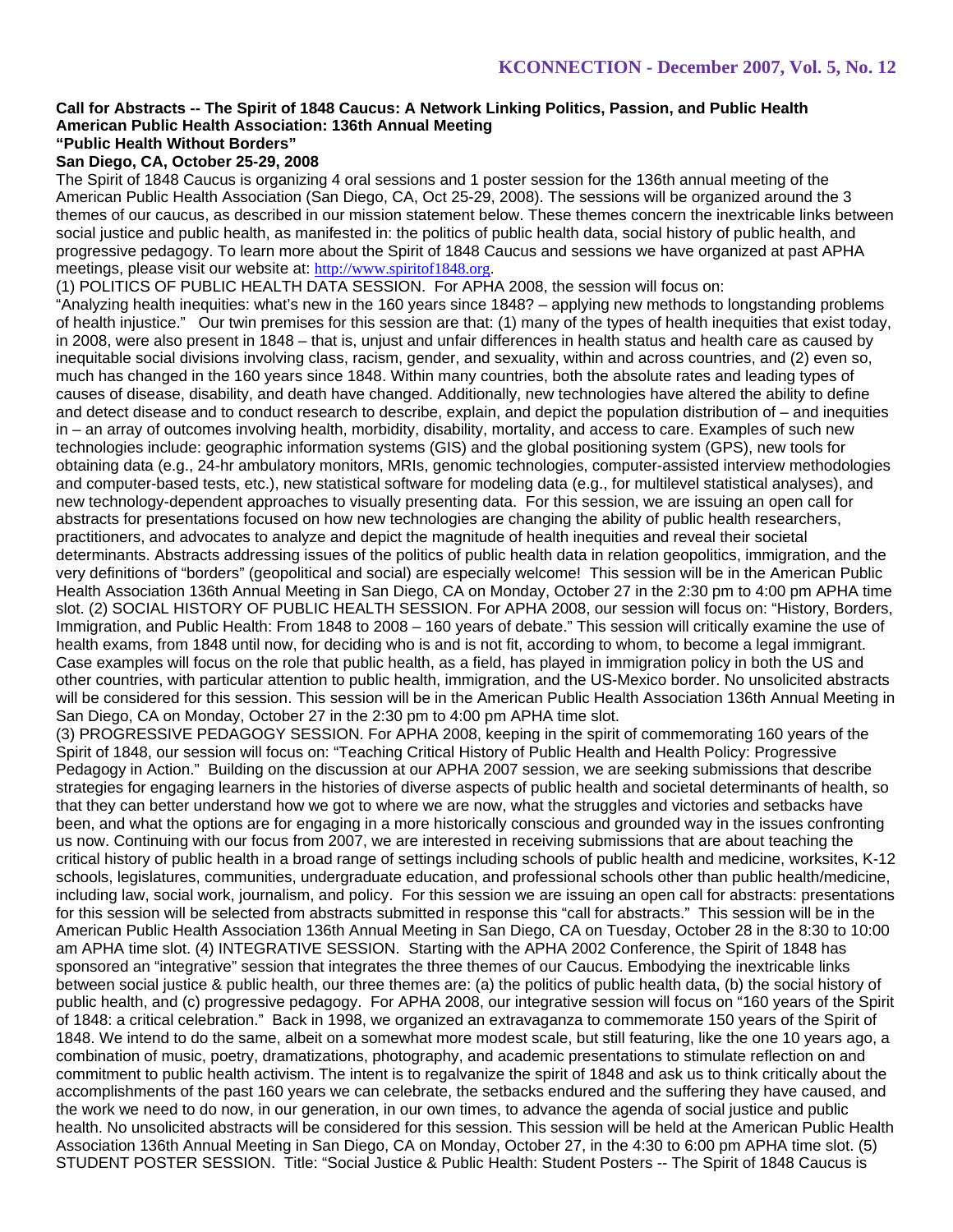#### **Call for Abstracts -- The Spirit of 1848 Caucus: A Network Linking Politics, Passion, and Public Health American Public Health Association: 136th Annual Meeting "Public Health Without Borders"**

# **San Diego, CA, October 25-29, 2008**

The Spirit of 1848 Caucus is organizing 4 oral sessions and 1 poster session for the 136th annual meeting of the American Public Health Association (San Diego, CA, Oct 25-29, 2008). The sessions will be organized around the 3 themes of our caucus, as described in our mission statement below. These themes concern the inextricable links between social justice and public health, as manifested in: the politics of public health data, social history of public health, and progressive pedagogy. To learn more about the Spirit of 1848 Caucus and sessions we have organized at past APHA meetings, please visit our website at: http://www.spiritof1848.org.

(1) POLITICS OF PUBLIC HEALTH DATA SESSION. For APHA 2008, the session will focus on:

"Analyzing health inequities: what's new in the 160 years since 1848? – applying new methods to longstanding problems of health injustice." Our twin premises for this session are that: (1) many of the types of health inequities that exist today, in 2008, were also present in 1848 – that is, unjust and unfair differences in health status and health care as caused by inequitable social divisions involving class, racism, gender, and sexuality, within and across countries, and (2) even so, much has changed in the 160 years since 1848. Within many countries, both the absolute rates and leading types of causes of disease, disability, and death have changed. Additionally, new technologies have altered the ability to define and detect disease and to conduct research to describe, explain, and depict the population distribution of – and inequities in – an array of outcomes involving health, morbidity, disability, mortality, and access to care. Examples of such new technologies include: geographic information systems (GIS) and the global positioning system (GPS), new tools for obtaining data (e.g., 24-hr ambulatory monitors, MRIs, genomic technologies, computer-assisted interview methodologies and computer-based tests, etc.), new statistical software for modeling data (e.g., for multilevel statistical analyses), and new technology-dependent approaches to visually presenting data. For this session, we are issuing an open call for abstracts for presentations focused on how new technologies are changing the ability of public health researchers, practitioners, and advocates to analyze and depict the magnitude of health inequities and reveal their societal determinants. Abstracts addressing issues of the politics of public health data in relation geopolitics, immigration, and the very definitions of "borders" (geopolitical and social) are especially welcome! This session will be in the American Public Health Association 136th Annual Meeting in San Diego, CA on Monday, October 27 in the 2:30 pm to 4:00 pm APHA time slot. (2) SOCIAL HISTORY OF PUBLIC HEALTH SESSION. For APHA 2008, our session will focus on: "History, Borders, Immigration, and Public Health: From 1848 to 2008 – 160 years of debate." This session will critically examine the use of health exams, from 1848 until now, for deciding who is and is not fit, according to whom, to become a legal immigrant. Case examples will focus on the role that public health, as a field, has played in immigration policy in both the US and other countries, with particular attention to public health, immigration, and the US-Mexico border. No unsolicited abstracts will be considered for this session. This session will be in the American Public Health Association 136th Annual Meeting in San Diego, CA on Monday, October 27 in the 2:30 pm to 4:00 pm APHA time slot.

(3) PROGRESSIVE PEDAGOGY SESSION. For APHA 2008, keeping in the spirit of commemorating 160 years of the Spirit of 1848, our session will focus on: "Teaching Critical History of Public Health and Health Policy: Progressive Pedagogy in Action." Building on the discussion at our APHA 2007 session, we are seeking submissions that describe strategies for engaging learners in the histories of diverse aspects of public health and societal determinants of health, so that they can better understand how we got to where we are now, what the struggles and victories and setbacks have been, and what the options are for engaging in a more historically conscious and grounded way in the issues confronting us now. Continuing with our focus from 2007, we are interested in receiving submissions that are about teaching the critical history of public health in a broad range of settings including schools of public health and medicine, worksites, K-12 schools, legislatures, communities, undergraduate education, and professional schools other than public health/medicine, including law, social work, journalism, and policy. For this session we are issuing an open call for abstracts: presentations for this session will be selected from abstracts submitted in response this "call for abstracts." This session will be in the American Public Health Association 136th Annual Meeting in San Diego, CA on Tuesday, October 28 in the 8:30 to 10:00 am APHA time slot. (4) INTEGRATIVE SESSION. Starting with the APHA 2002 Conference, the Spirit of 1848 has sponsored an "integrative" session that integrates the three themes of our Caucus. Embodying the inextricable links between social justice & public health, our three themes are: (a) the politics of public health data, (b) the social history of public health, and (c) progressive pedagogy. For APHA 2008, our integrative session will focus on "160 years of the Spirit of 1848: a critical celebration." Back in 1998, we organized an extravaganza to commemorate 150 years of the Spirit of 1848. We intend to do the same, albeit on a somewhat more modest scale, but still featuring, like the one 10 years ago, a combination of music, poetry, dramatizations, photography, and academic presentations to stimulate reflection on and commitment to public health activism. The intent is to regalvanize the spirit of 1848 and ask us to think critically about the accomplishments of the past 160 years we can celebrate, the setbacks endured and the suffering they have caused, and the work we need to do now, in our generation, in our own times, to advance the agenda of social justice and public health. No unsolicited abstracts will be considered for this session. This session will be held at the American Public Health Association 136th Annual Meeting in San Diego, CA on Monday, October 27, in the 4:30 to 6:00 pm APHA time slot. (5) STUDENT POSTER SESSION. Title: "Social Justice & Public Health: Student Posters -- The Spirit of 1848 Caucus is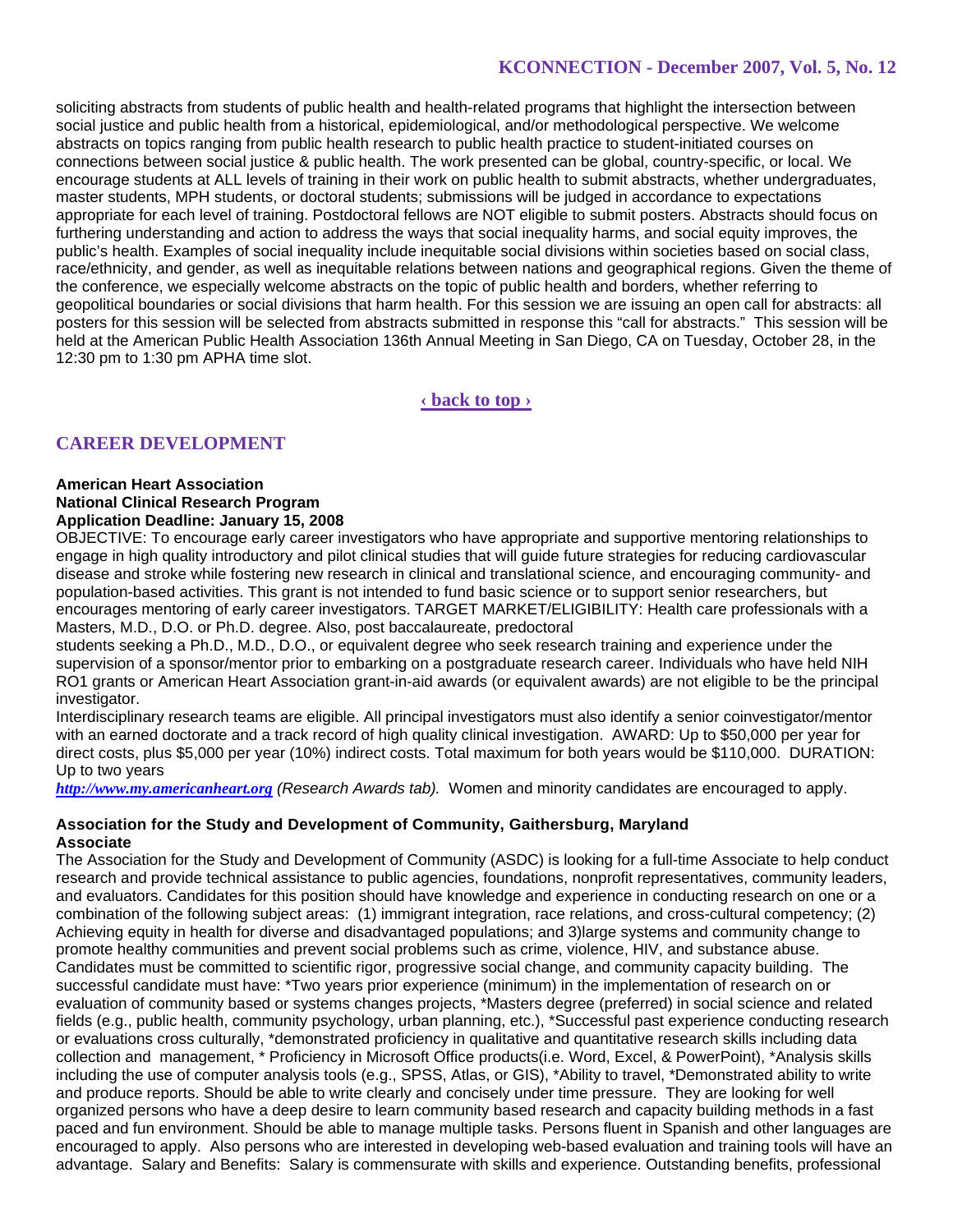soliciting abstracts from students of public health and health-related programs that highlight the intersection between social justice and public health from a historical, epidemiological, and/or methodological perspective. We welcome abstracts on topics ranging from public health research to public health practice to student-initiated courses on connections between social justice & public health. The work presented can be global, country-specific, or local. We encourage students at ALL levels of training in their work on public health to submit abstracts, whether undergraduates, master students, MPH students, or doctoral students; submissions will be judged in accordance to expectations appropriate for each level of training. Postdoctoral fellows are NOT eligible to submit posters. Abstracts should focus on furthering understanding and action to address the ways that social inequality harms, and social equity improves, the public's health. Examples of social inequality include inequitable social divisions within societies based on social class, race/ethnicity, and gender, as well as inequitable relations between nations and geographical regions. Given the theme of the conference, we especially welcome abstracts on the topic of public health and borders, whether referring to geopolitical boundaries or social divisions that harm health. For this session we are issuing an open call for abstracts: all posters for this session will be selected from abstracts submitted in response this "call for abstracts." This session will be held at the American Public Health Association 136th Annual Meeting in San Diego, CA on Tuesday, October 28, in the 12:30 pm to 1:30 pm APHA time slot.

**‹ back to top ›**

# **CAREER DEVELOPMENT**

#### **American Heart Association National Clinical Research Program Application Deadline: January 15, 2008**

OBJECTIVE: To encourage early career investigators who have appropriate and supportive mentoring relationships to engage in high quality introductory and pilot clinical studies that will guide future strategies for reducing cardiovascular disease and stroke while fostering new research in clinical and translational science, and encouraging community- and population-based activities. This grant is not intended to fund basic science or to support senior researchers, but encourages mentoring of early career investigators. TARGET MARKET/ELIGIBILITY: Health care professionals with a Masters, M.D., D.O. or Ph.D. degree. Also, post baccalaureate, predoctoral

students seeking a Ph.D., M.D., D.O., or equivalent degree who seek research training and experience under the supervision of a sponsor/mentor prior to embarking on a postgraduate research career. Individuals who have held NIH RO1 grants or American Heart Association grant-in-aid awards (or equivalent awards) are not eligible to be the principal investigator.

Interdisciplinary research teams are eligible. All principal investigators must also identify a senior coinvestigator/mentor with an earned doctorate and a track record of high quality clinical investigation. AWARD: Up to \$50,000 per year for direct costs, plus \$5,000 per year (10%) indirect costs. Total maximum for both years would be \$110,000. DURATION: Up to two years

*http://www.my.americanheart.org (Research Awards tab).* Women and minority candidates are encouraged to apply.

### **Association for the Study and Development of Community, Gaithersburg, Maryland Associate**

The Association for the Study and Development of Community (ASDC) is looking for a full-time Associate to help conduct research and provide technical assistance to public agencies, foundations, nonprofit representatives, community leaders, and evaluators. Candidates for this position should have knowledge and experience in conducting research on one or a combination of the following subject areas: (1) immigrant integration, race relations, and cross-cultural competency; (2) Achieving equity in health for diverse and disadvantaged populations; and 3)large systems and community change to promote healthy communities and prevent social problems such as crime, violence, HIV, and substance abuse. Candidates must be committed to scientific rigor, progressive social change, and community capacity building. The successful candidate must have: \*Two years prior experience (minimum) in the implementation of research on or evaluation of community based or systems changes projects, \*Masters degree (preferred) in social science and related fields (e.g., public health, community psychology, urban planning, etc.), \*Successful past experience conducting research or evaluations cross culturally, \*demonstrated proficiency in qualitative and quantitative research skills including data collection and management, \* Proficiency in Microsoft Office products(i.e. Word, Excel, & PowerPoint), \*Analysis skills including the use of computer analysis tools (e.g., SPSS, Atlas, or GIS), \*Ability to travel, \*Demonstrated ability to write and produce reports. Should be able to write clearly and concisely under time pressure. They are looking for well organized persons who have a deep desire to learn community based research and capacity building methods in a fast paced and fun environment. Should be able to manage multiple tasks. Persons fluent in Spanish and other languages are encouraged to apply. Also persons who are interested in developing web-based evaluation and training tools will have an advantage. Salary and Benefits: Salary is commensurate with skills and experience. Outstanding benefits, professional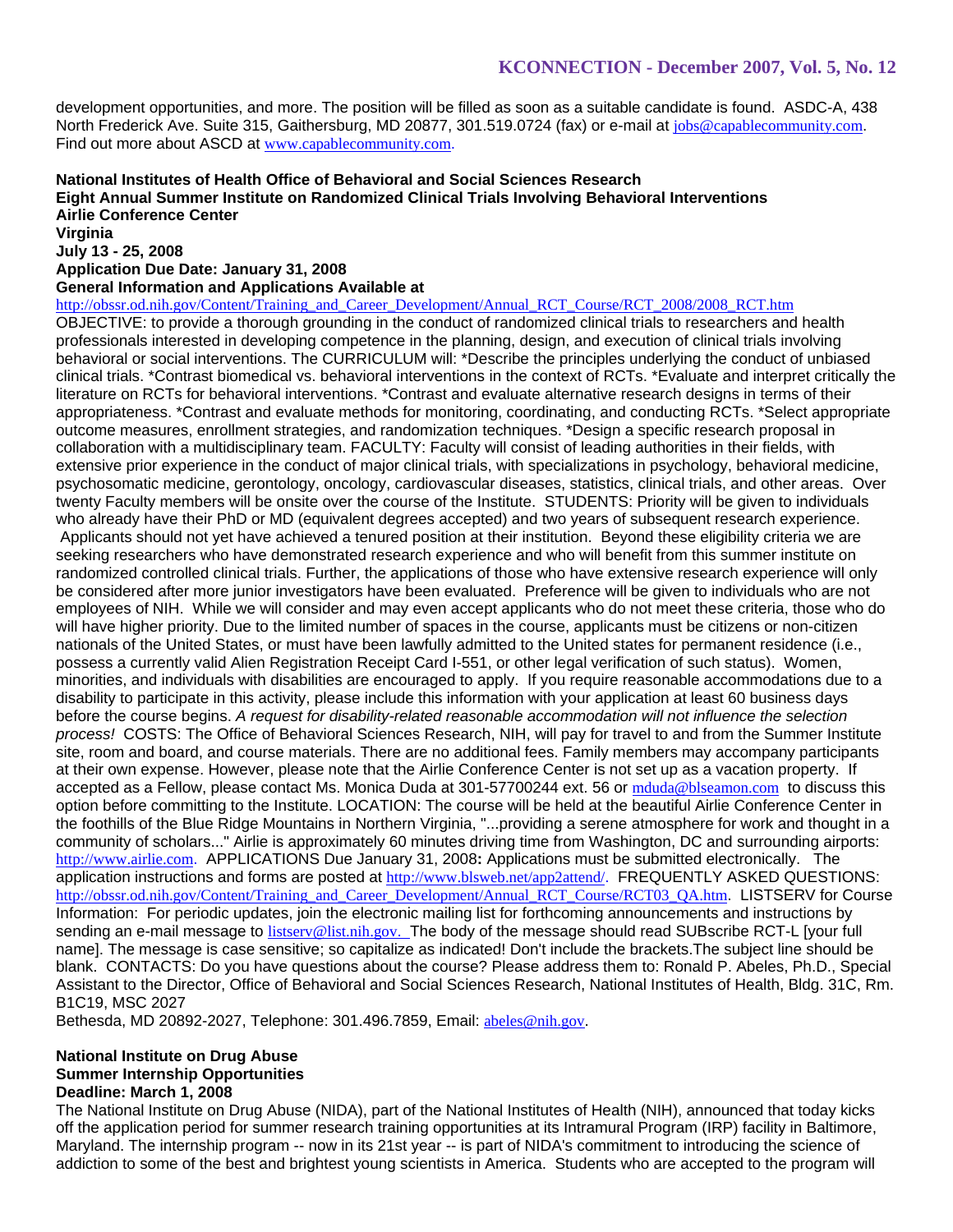development opportunities, and more. The position will be filled as soon as a suitable candidate is found. ASDC-A, 438 North Frederick Ave. Suite 315, Gaithersburg, MD 20877, 301.519.0724 (fax) or e-mail at jobs@capablecommunity.com. Find out more about ASCD at www.capablecommunity.com.

# **National Institutes of Health Office of Behavioral and Social Sciences Research Eight Annual Summer Institute on Randomized Clinical Trials Involving Behavioral Interventions Airlie Conference Center**

**Virginia July 13 - 25, 2008** 

#### **Application Due Date: January 31, 2008**

**General Information and Applications Available at** 

http://obssr.od.nih.gov/Content/Training\_and\_Career\_Development/Annual\_RCT\_Course/RCT\_2008/2008\_RCT.htm OBJECTIVE: to provide a thorough grounding in the conduct of randomized clinical trials to researchers and health professionals interested in developing competence in the planning, design, and execution of clinical trials involving behavioral or social interventions. The CURRICULUM will: \*Describe the principles underlying the conduct of unbiased clinical trials. \*Contrast biomedical vs. behavioral interventions in the context of RCTs. \*Evaluate and interpret critically the literature on RCTs for behavioral interventions. \*Contrast and evaluate alternative research designs in terms of their appropriateness. \*Contrast and evaluate methods for monitoring, coordinating, and conducting RCTs. \*Select appropriate outcome measures, enrollment strategies, and randomization techniques. \*Design a specific research proposal in collaboration with a multidisciplinary team. FACULTY: Faculty will consist of leading authorities in their fields, with extensive prior experience in the conduct of major clinical trials, with specializations in psychology, behavioral medicine, psychosomatic medicine, gerontology, oncology, cardiovascular diseases, statistics, clinical trials, and other areas. Over twenty Faculty members will be onsite over the course of the Institute. STUDENTS: Priority will be given to individuals who already have their PhD or MD (equivalent degrees accepted) and two years of subsequent research experience. Applicants should not yet have achieved a tenured position at their institution. Beyond these eligibility criteria we are seeking researchers who have demonstrated research experience and who will benefit from this summer institute on randomized controlled clinical trials. Further, the applications of those who have extensive research experience will only be considered after more junior investigators have been evaluated. Preference will be given to individuals who are not employees of NIH. While we will consider and may even accept applicants who do not meet these criteria, those who do will have higher priority. Due to the limited number of spaces in the course, applicants must be citizens or non-citizen nationals of the United States, or must have been lawfully admitted to the United states for permanent residence (i.e., possess a currently valid Alien Registration Receipt Card I-551, or other legal verification of such status). Women, minorities, and individuals with disabilities are encouraged to apply. If you require reasonable accommodations due to a disability to participate in this activity, please include this information with your application at least 60 business days before the course begins. *A request for disability-related reasonable accommodation will not influence the selection process!* COSTS: The Office of Behavioral Sciences Research, NIH, will pay for travel to and from the Summer Institute site, room and board, and course materials. There are no additional fees. Family members may accompany participants at their own expense. However, please note that the Airlie Conference Center is not set up as a vacation property. If accepted as a Fellow, please contact Ms. Monica Duda at 301-57700244 ext. 56 or mduda@blseamon.com to discuss this option before committing to the Institute. LOCATION: The course will be held at the beautiful Airlie Conference Center in the foothills of the Blue Ridge Mountains in Northern Virginia, "...providing a serene atmosphere for work and thought in a community of scholars..." Airlie is approximately 60 minutes driving time from Washington, DC and surrounding airports: http://www.airlie.com. APPLICATIONS Due January 31, 2008**:** Applications must be submitted electronically. The application instructions and forms are posted at http://www.blsweb.net/app2attend/. FREQUENTLY ASKED QUESTIONS: http://obssr.od.nih.gov/Content/Training\_and\_Career\_Development/Annual\_RCT\_Course/RCT03\_QA.htm. LISTSERV for Course Information: For periodic updates, join the electronic mailing list for forthcoming announcements and instructions by sending an e-mail message to listserv@list.nih.gov. The body of the message should read SUBscribe RCT-L [your full name]. The message is case sensitive; so capitalize as indicated! Don't include the brackets.The subject line should be blank. CONTACTS: Do you have questions about the course? Please address them to: Ronald P. Abeles, Ph.D., Special Assistant to the Director, Office of Behavioral and Social Sciences Research, National Institutes of Health, Bldg. 31C, Rm. B1C19, MSC 2027

Bethesda, MD 20892-2027, Telephone: 301.496.7859, Email: abeles@nih.gov.

#### **National Institute on Drug Abuse Summer Internship Opportunities Deadline: March 1, 2008**

The National Institute on Drug Abuse (NIDA), part of the National Institutes of Health (NIH), announced that today kicks off the application period for summer research training opportunities at its Intramural Program (IRP) facility in Baltimore, Maryland. The internship program -- now in its 21st year -- is part of NIDA's commitment to introducing the science of addiction to some of the best and brightest young scientists in America. Students who are accepted to the program will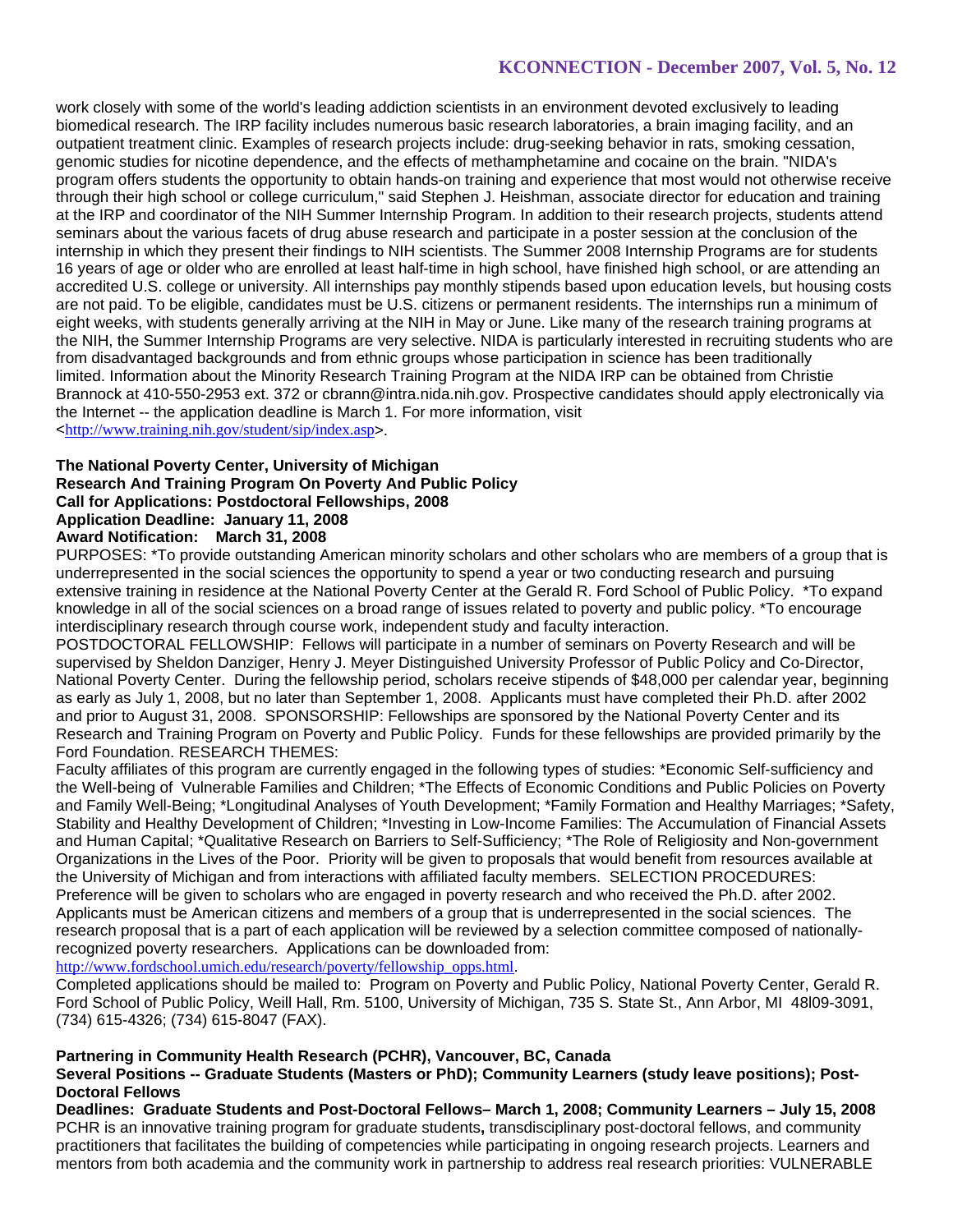work closely with some of the world's leading addiction scientists in an environment devoted exclusively to leading biomedical research. The IRP facility includes numerous basic research laboratories, a brain imaging facility, and an outpatient treatment clinic. Examples of research projects include: drug-seeking behavior in rats, smoking cessation, genomic studies for nicotine dependence, and the effects of methamphetamine and cocaine on the brain. "NIDA's program offers students the opportunity to obtain hands-on training and experience that most would not otherwise receive through their high school or college curriculum," said Stephen J. Heishman, associate director for education and training at the IRP and coordinator of the NIH Summer Internship Program. In addition to their research projects, students attend seminars about the various facets of drug abuse research and participate in a poster session at the conclusion of the internship in which they present their findings to NIH scientists. The Summer 2008 Internship Programs are for students 16 years of age or older who are enrolled at least half-time in high school, have finished high school, or are attending an accredited U.S. college or university. All internships pay monthly stipends based upon education levels, but housing costs are not paid. To be eligible, candidates must be U.S. citizens or permanent residents. The internships run a minimum of eight weeks, with students generally arriving at the NIH in May or June. Like many of the research training programs at the NIH, the Summer Internship Programs are very selective. NIDA is particularly interested in recruiting students who are from disadvantaged backgrounds and from ethnic groups whose participation in science has been traditionally limited. Information about the Minority Research Training Program at the NIDA IRP can be obtained from Christie Brannock at 410-550-2953 ext. 372 or cbrann@intra.nida.nih.gov. Prospective candidates should apply electronically via the Internet -- the application deadline is March 1. For more information, visit <http://www.training.nih.gov/student/sip/index.asp>.

#### **The National Poverty Center, University of Michigan Research And Training Program On Poverty And Public Policy Call for Applications: Postdoctoral Fellowships, 2008 Application Deadline: January 11, 2008 Award Notification: March 31, 2008**

PURPOSES: \*To provide outstanding American minority scholars and other scholars who are members of a group that is underrepresented in the social sciences the opportunity to spend a year or two conducting research and pursuing extensive training in residence at the National Poverty Center at the Gerald R. Ford School of Public Policy. \*To expand knowledge in all of the social sciences on a broad range of issues related to poverty and public policy. \*To encourage interdisciplinary research through course work, independent study and faculty interaction.

POSTDOCTORAL FELLOWSHIP: Fellows will participate in a number of seminars on Poverty Research and will be supervised by Sheldon Danziger, Henry J. Meyer Distinguished University Professor of Public Policy and Co-Director, National Poverty Center. During the fellowship period, scholars receive stipends of \$48,000 per calendar year, beginning as early as July 1, 2008, but no later than September 1, 2008. Applicants must have completed their Ph.D. after 2002 and prior to August 31, 2008. SPONSORSHIP: Fellowships are sponsored by the National Poverty Center and its Research and Training Program on Poverty and Public Policy. Funds for these fellowships are provided primarily by the Ford Foundation. RESEARCH THEMES:

Faculty affiliates of this program are currently engaged in the following types of studies: \*Economic Self-sufficiency and the Well-being of Vulnerable Families and Children; \*The Effects of Economic Conditions and Public Policies on Poverty and Family Well-Being; \*Longitudinal Analyses of Youth Development; \*Family Formation and Healthy Marriages; \*Safety, Stability and Healthy Development of Children; \*Investing in Low-Income Families: The Accumulation of Financial Assets and Human Capital; \*Qualitative Research on Barriers to Self-Sufficiency; \*The Role of Religiosity and Non-government Organizations in the Lives of the Poor. Priority will be given to proposals that would benefit from resources available at the University of Michigan and from interactions with affiliated faculty members. SELECTION PROCEDURES: Preference will be given to scholars who are engaged in poverty research and who received the Ph.D. after 2002. Applicants must be American citizens and members of a group that is underrepresented in the social sciences. The research proposal that is a part of each application will be reviewed by a selection committee composed of nationallyrecognized poverty researchers. Applications can be downloaded from:

http://www.fordschool.umich.edu/research/poverty/fellowship\_opps.html.

Completed applications should be mailed to: Program on Poverty and Public Policy, National Poverty Center, Gerald R. Ford School of Public Policy, Weill Hall, Rm. 5100, University of Michigan, 735 S. State St., Ann Arbor, MI 48l09-3091, (734) 615-4326; (734) 615-8047 (FAX).

### **Partnering in Community Health Research (PCHR), Vancouver, BC, Canada**

### **Several Positions -- Graduate Students (Masters or PhD); Community Learners (study leave positions); Post-Doctoral Fellows**

**Deadlines: Graduate Students and Post-Doctoral Fellows– March 1, 2008; Community Learners – July 15, 2008** PCHR is an innovative training program for graduate students**,** transdisciplinary post-doctoral fellows, and community practitioners that facilitates the building of competencies while participating in ongoing research projects. Learners and mentors from both academia and the community work in partnership to address real research priorities: VULNERABLE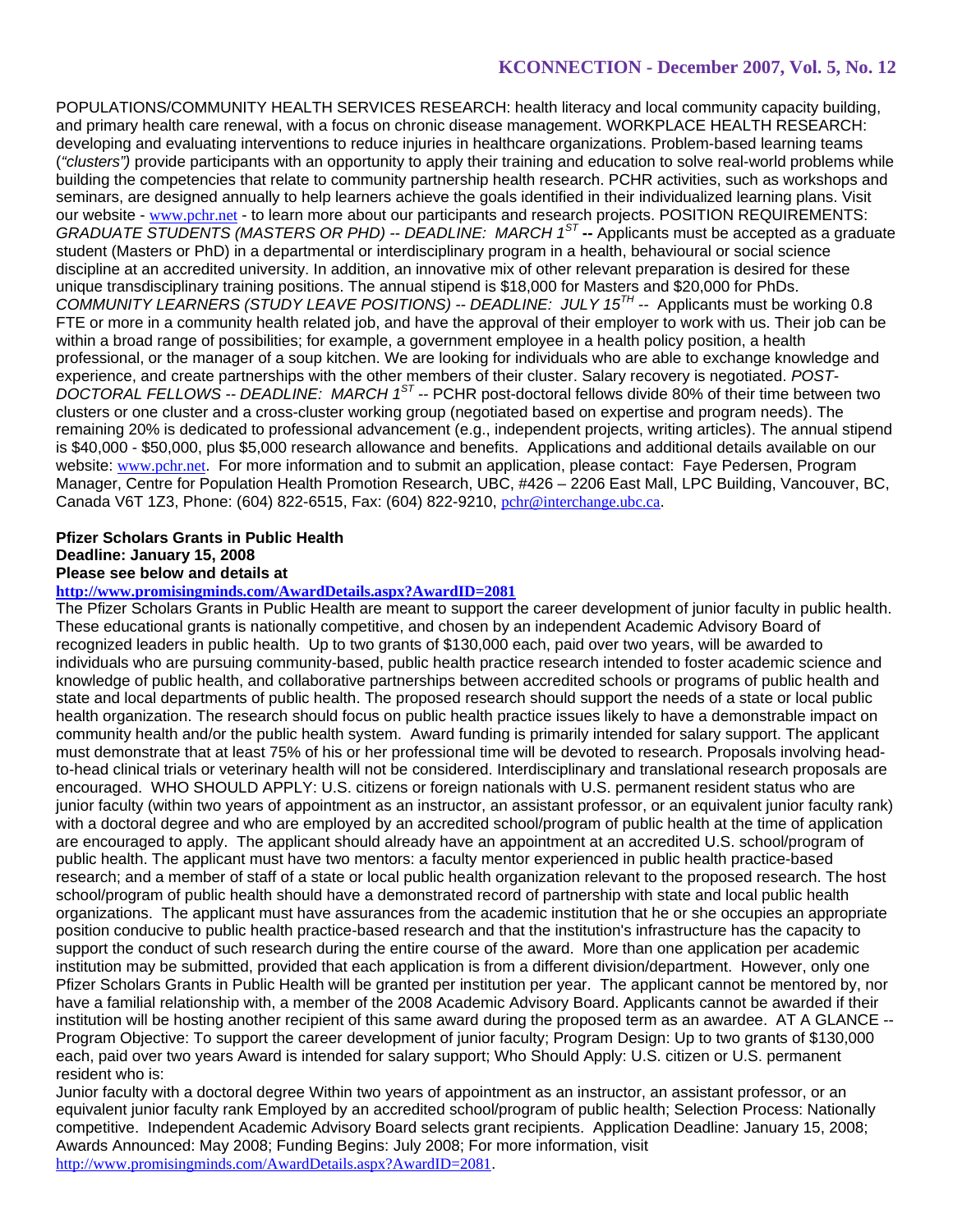POPULATIONS/COMMUNITY HEALTH SERVICES RESEARCH: health literacy and local community capacity building, and primary health care renewal, with a focus on chronic disease management. WORKPLACE HEALTH RESEARCH: developing and evaluating interventions to reduce injuries in healthcare organizations. Problem-based learning teams (*"clusters")* provide participants with an opportunity to apply their training and education to solve real-world problems while building the competencies that relate to community partnership health research. PCHR activities, such as workshops and seminars, are designed annually to help learners achieve the goals identified in their individualized learning plans. Visit our website - www.pchr.net - to learn more about our participants and research projects. POSITION REQUIREMENTS: *GRADUATE STUDENTS (MASTERS OR PHD) -- DEADLINE: MARCH 1ST* **--** Applicants must be accepted as a graduate student (Masters or PhD) in a departmental or interdisciplinary program in a health, behavioural or social science discipline at an accredited university. In addition, an innovative mix of other relevant preparation is desired for these unique transdisciplinary training positions. The annual stipend is \$18,000 for Masters and \$20,000 for PhDs. *COMMUNITY LEARNERS (STUDY LEAVE POSITIONS) -- DEADLINE: JULY 15TH --* Applicants must be working 0.8 FTE or more in a community health related job, and have the approval of their employer to work with us. Their job can be within a broad range of possibilities; for example, a government employee in a health policy position, a health professional, or the manager of a soup kitchen. We are looking for individuals who are able to exchange knowledge and experience, and create partnerships with the other members of their cluster. Salary recovery is negotiated. *POST-DOCTORAL FELLOWS -- DEADLINE: MARCH 1ST --* PCHR post-doctoral fellows divide 80% of their time between two clusters or one cluster and a cross-cluster working group (negotiated based on expertise and program needs). The remaining 20% is dedicated to professional advancement (e.g., independent projects, writing articles). The annual stipend is \$40,000 - \$50,000, plus \$5,000 research allowance and benefits. Applications and additional details available on our website: www.pchr.net. For more information and to submit an application, please contact: Faye Pedersen, Program Manager, Centre for Population Health Promotion Research, UBC, #426 – 2206 East Mall, LPC Building, Vancouver, BC, Canada V6T 1Z3, Phone: (604) 822-6515, Fax: (604) 822-9210, pchr@interchange.ubc.ca.

# **Pfizer Scholars Grants in Public Health Deadline: January 15, 2008 Please see below and details at**

# **http://www.promisingminds.com/AwardDetails.aspx?AwardID=2081**

The Pfizer Scholars Grants in Public Health are meant to support the career development of junior faculty in public health. These educational grants is nationally competitive, and chosen by an independent Academic Advisory Board of recognized leaders in public health. Up to two grants of \$130,000 each, paid over two years, will be awarded to individuals who are pursuing community-based, public health practice research intended to foster academic science and knowledge of public health, and collaborative partnerships between accredited schools or programs of public health and state and local departments of public health. The proposed research should support the needs of a state or local public health organization. The research should focus on public health practice issues likely to have a demonstrable impact on community health and/or the public health system. Award funding is primarily intended for salary support. The applicant must demonstrate that at least 75% of his or her professional time will be devoted to research. Proposals involving headto-head clinical trials or veterinary health will not be considered. Interdisciplinary and translational research proposals are encouraged. WHO SHOULD APPLY: U.S. citizens or foreign nationals with U.S. permanent resident status who are junior faculty (within two years of appointment as an instructor, an assistant professor, or an equivalent junior faculty rank) with a doctoral degree and who are employed by an accredited school/program of public health at the time of application are encouraged to apply. The applicant should already have an appointment at an accredited U.S. school/program of public health. The applicant must have two mentors: a faculty mentor experienced in public health practice-based research; and a member of staff of a state or local public health organization relevant to the proposed research. The host school/program of public health should have a demonstrated record of partnership with state and local public health organizations. The applicant must have assurances from the academic institution that he or she occupies an appropriate position conducive to public health practice-based research and that the institution's infrastructure has the capacity to support the conduct of such research during the entire course of the award. More than one application per academic institution may be submitted, provided that each application is from a different division/department. However, only one Pfizer Scholars Grants in Public Health will be granted per institution per year. The applicant cannot be mentored by, nor have a familial relationship with, a member of the 2008 Academic Advisory Board. Applicants cannot be awarded if their institution will be hosting another recipient of this same award during the proposed term as an awardee. AT A GLANCE -Program Objective: To support the career development of junior faculty; Program Design: Up to two grants of \$130,000 each, paid over two years Award is intended for salary support; Who Should Apply: U.S. citizen or U.S. permanent resident who is:

Junior faculty with a doctoral degree Within two years of appointment as an instructor, an assistant professor, or an equivalent junior faculty rank Employed by an accredited school/program of public health; Selection Process: Nationally competitive. Independent Academic Advisory Board selects grant recipients. Application Deadline: January 15, 2008; Awards Announced: May 2008; Funding Begins: July 2008; For more information, visit http://www.promisingminds.com/AwardDetails.aspx?AwardID=2081.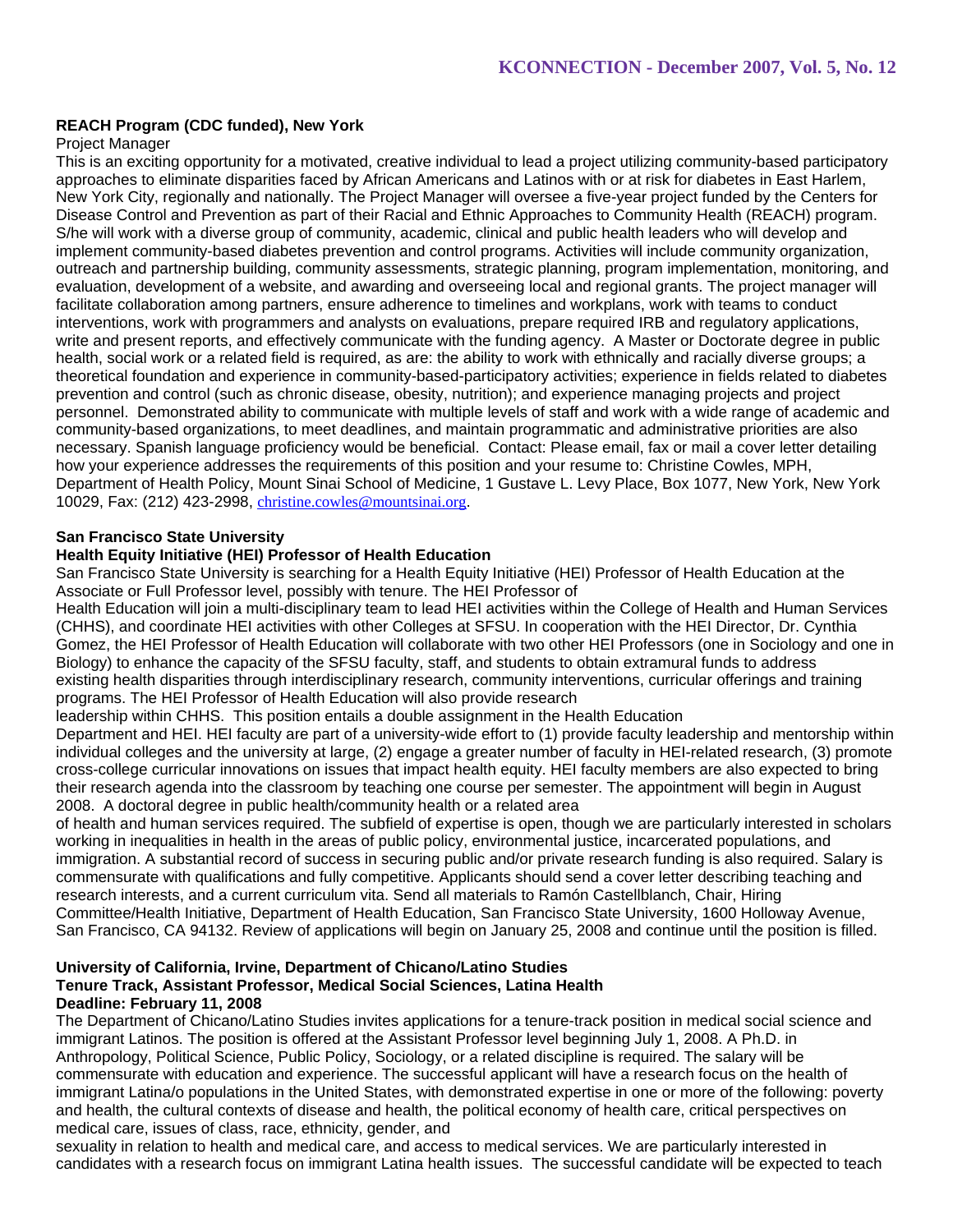# **REACH Program (CDC funded), New York**

### Project Manager

This is an exciting opportunity for a motivated, creative individual to lead a project utilizing community-based participatory approaches to eliminate disparities faced by African Americans and Latinos with or at risk for diabetes in East Harlem, New York City, regionally and nationally. The Project Manager will oversee a five-year project funded by the Centers for Disease Control and Prevention as part of their Racial and Ethnic Approaches to Community Health (REACH) program. S/he will work with a diverse group of community, academic, clinical and public health leaders who will develop and implement community-based diabetes prevention and control programs. Activities will include community organization, outreach and partnership building, community assessments, strategic planning, program implementation, monitoring, and evaluation, development of a website, and awarding and overseeing local and regional grants. The project manager will facilitate collaboration among partners, ensure adherence to timelines and workplans, work with teams to conduct interventions, work with programmers and analysts on evaluations, prepare required IRB and regulatory applications, write and present reports, and effectively communicate with the funding agency. A Master or Doctorate degree in public health, social work or a related field is required, as are: the ability to work with ethnically and racially diverse groups; a theoretical foundation and experience in community-based-participatory activities; experience in fields related to diabetes prevention and control (such as chronic disease, obesity, nutrition); and experience managing projects and project personnel. Demonstrated ability to communicate with multiple levels of staff and work with a wide range of academic and community-based organizations, to meet deadlines, and maintain programmatic and administrative priorities are also necessary. Spanish language proficiency would be beneficial. Contact: Please email, fax or mail a cover letter detailing how your experience addresses the requirements of this position and your resume to: Christine Cowles, MPH, Department of Health Policy, Mount Sinai School of Medicine, 1 Gustave L. Levy Place, Box 1077, New York, New York 10029, Fax: (212) 423-2998, christine.cowles@mountsinai.org.

### **San Francisco State University**

# **Health Equity Initiative (HEI) Professor of Health Education**

San Francisco State University is searching for a Health Equity Initiative (HEI) Professor of Health Education at the Associate or Full Professor level, possibly with tenure. The HEI Professor of

Health Education will join a multi-disciplinary team to lead HEI activities within the College of Health and Human Services (CHHS), and coordinate HEI activities with other Colleges at SFSU. In cooperation with the HEI Director, Dr. Cynthia Gomez, the HEI Professor of Health Education will collaborate with two other HEI Professors (one in Sociology and one in Biology) to enhance the capacity of the SFSU faculty, staff, and students to obtain extramural funds to address existing health disparities through interdisciplinary research, community interventions, curricular offerings and training programs. The HEI Professor of Health Education will also provide research

leadership within CHHS. This position entails a double assignment in the Health Education

Department and HEI. HEI faculty are part of a university-wide effort to (1) provide faculty leadership and mentorship within individual colleges and the university at large, (2) engage a greater number of faculty in HEI-related research, (3) promote cross-college curricular innovations on issues that impact health equity. HEI faculty members are also expected to bring their research agenda into the classroom by teaching one course per semester. The appointment will begin in August 2008. A doctoral degree in public health/community health or a related area

of health and human services required. The subfield of expertise is open, though we are particularly interested in scholars working in inequalities in health in the areas of public policy, environmental justice, incarcerated populations, and immigration. A substantial record of success in securing public and/or private research funding is also required. Salary is commensurate with qualifications and fully competitive. Applicants should send a cover letter describing teaching and research interests, and a current curriculum vita. Send all materials to Ramón Castellblanch, Chair, Hiring Committee/Health Initiative, Department of Health Education, San Francisco State University, 1600 Holloway Avenue, San Francisco, CA 94132. Review of applications will begin on January 25, 2008 and continue until the position is filled.

#### **University of California, Irvine, Department of Chicano/Latino Studies Tenure Track, Assistant Professor, Medical Social Sciences, Latina Health Deadline: February 11, 2008**

The Department of Chicano/Latino Studies invites applications for a tenure-track position in medical social science and immigrant Latinos. The position is offered at the Assistant Professor level beginning July 1, 2008. A Ph.D. in Anthropology, Political Science, Public Policy, Sociology, or a related discipline is required. The salary will be commensurate with education and experience. The successful applicant will have a research focus on the health of immigrant Latina/o populations in the United States, with demonstrated expertise in one or more of the following: poverty and health, the cultural contexts of disease and health, the political economy of health care, critical perspectives on medical care, issues of class, race, ethnicity, gender, and

sexuality in relation to health and medical care, and access to medical services. We are particularly interested in candidates with a research focus on immigrant Latina health issues. The successful candidate will be expected to teach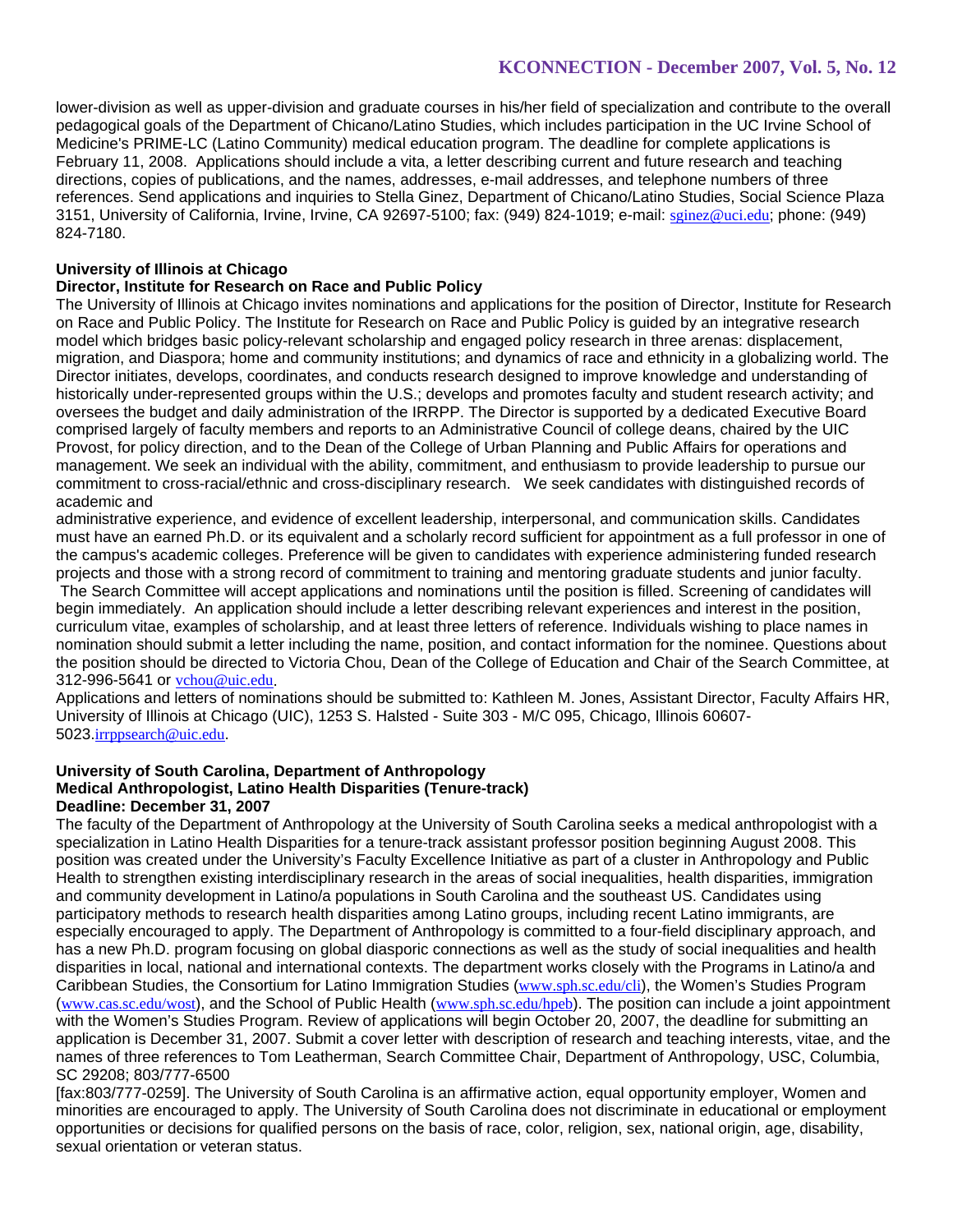lower-division as well as upper-division and graduate courses in his/her field of specialization and contribute to the overall pedagogical goals of the Department of Chicano/Latino Studies, which includes participation in the UC Irvine School of Medicine's PRIME-LC (Latino Community) medical education program. The deadline for complete applications is February 11, 2008. Applications should include a vita, a letter describing current and future research and teaching directions, copies of publications, and the names, addresses, e-mail addresses, and telephone numbers of three references. Send applications and inquiries to Stella Ginez, Department of Chicano/Latino Studies, Social Science Plaza 3151, University of California, Irvine, Irvine, CA 92697-5100; fax: (949) 824-1019; e-mail: sginez@uci.edu; phone: (949) 824-7180.

# **University of Illinois at Chicago**

### **Director, Institute for Research on Race and Public Policy**

The University of Illinois at Chicago invites nominations and applications for the position of Director, Institute for Research on Race and Public Policy. The Institute for Research on Race and Public Policy is guided by an integrative research model which bridges basic policy-relevant scholarship and engaged policy research in three arenas: displacement, migration, and Diaspora; home and community institutions; and dynamics of race and ethnicity in a globalizing world. The Director initiates, develops, coordinates, and conducts research designed to improve knowledge and understanding of historically under-represented groups within the U.S.; develops and promotes faculty and student research activity; and oversees the budget and daily administration of the IRRPP. The Director is supported by a dedicated Executive Board comprised largely of faculty members and reports to an Administrative Council of college deans, chaired by the UIC Provost, for policy direction, and to the Dean of the College of Urban Planning and Public Affairs for operations and management. We seek an individual with the ability, commitment, and enthusiasm to provide leadership to pursue our commitment to cross-racial/ethnic and cross-disciplinary research. We seek candidates with distinguished records of academic and

administrative experience, and evidence of excellent leadership, interpersonal, and communication skills. Candidates must have an earned Ph.D. or its equivalent and a scholarly record sufficient for appointment as a full professor in one of the campus's academic colleges. Preference will be given to candidates with experience administering funded research projects and those with a strong record of commitment to training and mentoring graduate students and junior faculty.

 The Search Committee will accept applications and nominations until the position is filled. Screening of candidates will begin immediately. An application should include a letter describing relevant experiences and interest in the position, curriculum vitae, examples of scholarship, and at least three letters of reference. Individuals wishing to place names in nomination should submit a letter including the name, position, and contact information for the nominee. Questions about the position should be directed to Victoria Chou, Dean of the College of Education and Chair of the Search Committee, at 312-996-5641 or vchou@uic.edu.

Applications and letters of nominations should be submitted to: Kathleen M. Jones, Assistant Director, Faculty Affairs HR, University of Illinois at Chicago (UIC), 1253 S. Halsted - Suite 303 - M/C 095, Chicago, Illinois 60607- 5023.irrppsearch@uic.edu.

#### **University of South Carolina, Department of Anthropology Medical Anthropologist, Latino Health Disparities (Tenure-track) Deadline: December 31, 2007**

The faculty of the Department of Anthropology at the University of South Carolina seeks a medical anthropologist with a specialization in Latino Health Disparities for a tenure-track assistant professor position beginning August 2008. This position was created under the University's Faculty Excellence Initiative as part of a cluster in Anthropology and Public Health to strengthen existing interdisciplinary research in the areas of social inequalities, health disparities, immigration and community development in Latino/a populations in South Carolina and the southeast US. Candidates using participatory methods to research health disparities among Latino groups, including recent Latino immigrants, are especially encouraged to apply. The Department of Anthropology is committed to a four-field disciplinary approach, and has a new Ph.D. program focusing on global diasporic connections as well as the study of social inequalities and health disparities in local, national and international contexts. The department works closely with the Programs in Latino/a and Caribbean Studies, the Consortium for Latino Immigration Studies (www.sph.sc.edu/cli), the Women's Studies Program (www.cas.sc.edu/wost), and the School of Public Health (www.sph.sc.edu/hpeb). The position can include a joint appointment with the Women's Studies Program. Review of applications will begin October 20, 2007, the deadline for submitting an application is December 31, 2007. Submit a cover letter with description of research and teaching interests, vitae, and the names of three references to Tom Leatherman, Search Committee Chair, Department of Anthropology, USC, Columbia, SC 29208; 803/777-6500

[fax:803/777-0259]. The University of South Carolina is an affirmative action, equal opportunity employer, Women and minorities are encouraged to apply. The University of South Carolina does not discriminate in educational or employment opportunities or decisions for qualified persons on the basis of race, color, religion, sex, national origin, age, disability, sexual orientation or veteran status.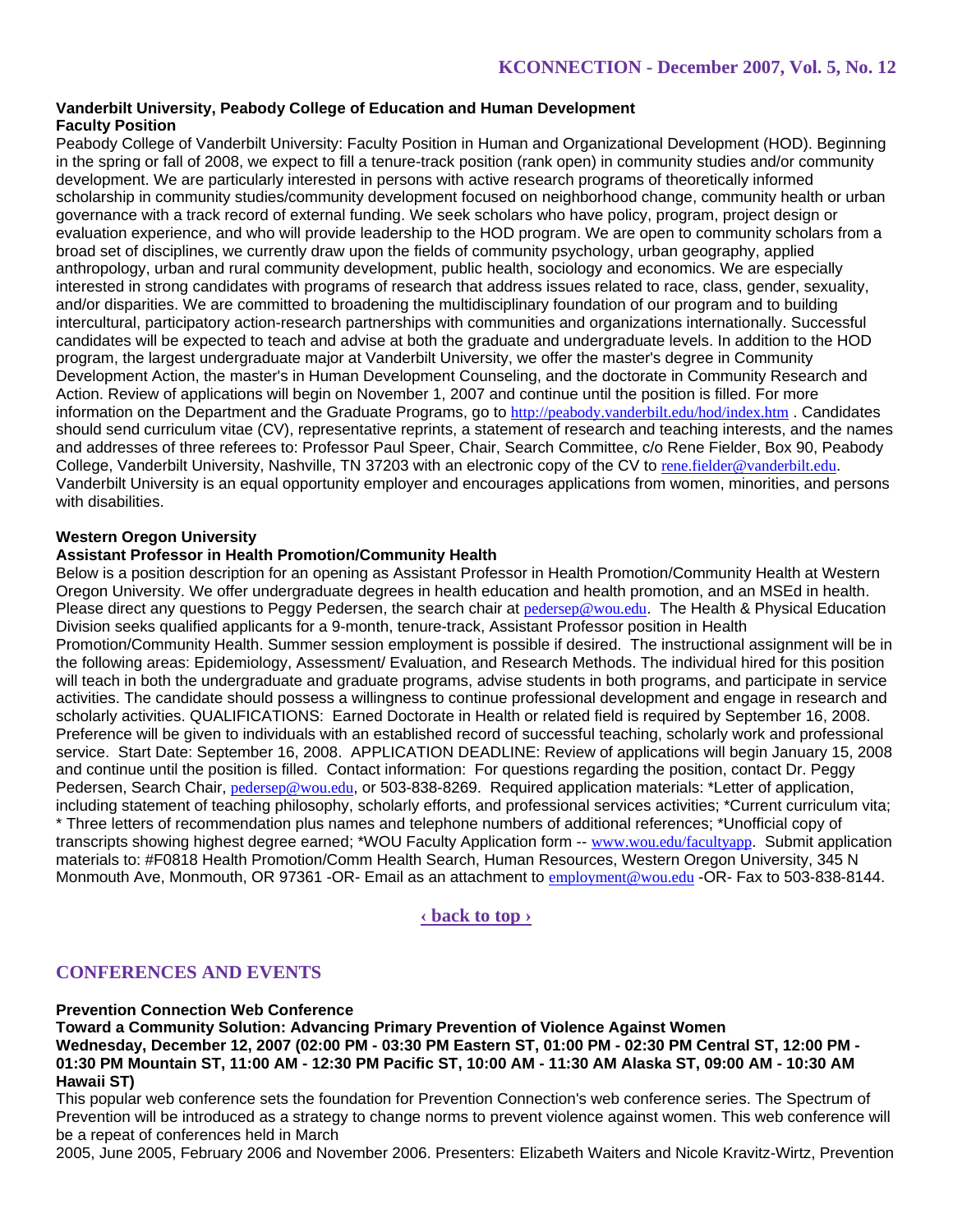# **Vanderbilt University, Peabody College of Education and Human Development Faculty Position**

Peabody College of Vanderbilt University: Faculty Position in Human and Organizational Development (HOD). Beginning in the spring or fall of 2008, we expect to fill a tenure-track position (rank open) in community studies and/or community development. We are particularly interested in persons with active research programs of theoretically informed scholarship in community studies/community development focused on neighborhood change, community health or urban governance with a track record of external funding. We seek scholars who have policy, program, project design or evaluation experience, and who will provide leadership to the HOD program. We are open to community scholars from a broad set of disciplines, we currently draw upon the fields of community psychology, urban geography, applied anthropology, urban and rural community development, public health, sociology and economics. We are especially interested in strong candidates with programs of research that address issues related to race, class, gender, sexuality, and/or disparities. We are committed to broadening the multidisciplinary foundation of our program and to building intercultural, participatory action-research partnerships with communities and organizations internationally. Successful candidates will be expected to teach and advise at both the graduate and undergraduate levels. In addition to the HOD program, the largest undergraduate major at Vanderbilt University, we offer the master's degree in Community Development Action, the master's in Human Development Counseling, and the doctorate in Community Research and Action. Review of applications will begin on November 1, 2007 and continue until the position is filled. For more information on the Department and the Graduate Programs, go to http://peabody.vanderbilt.edu/hod/index.htm . Candidates should send curriculum vitae (CV), representative reprints, a statement of research and teaching interests, and the names and addresses of three referees to: Professor Paul Speer, Chair, Search Committee, c/o Rene Fielder, Box 90, Peabody College, Vanderbilt University, Nashville, TN 37203 with an electronic copy of the CV to rene.fielder@vanderbilt.edu. Vanderbilt University is an equal opportunity employer and encourages applications from women, minorities, and persons with disabilities.

# **Western Oregon University**

# **Assistant Professor in Health Promotion/Community Health**

Below is a position description for an opening as Assistant Professor in Health Promotion/Community Health at Western Oregon University. We offer undergraduate degrees in health education and health promotion, and an MSEd in health. Please direct any questions to Peggy Pedersen, the search chair at pedersep@wou.edu. The Health & Physical Education Division seeks qualified applicants for a 9-month, tenure-track, Assistant Professor position in Health Promotion/Community Health. Summer session employment is possible if desired. The instructional assignment will be in the following areas: Epidemiology, Assessment/ Evaluation, and Research Methods. The individual hired for this position will teach in both the undergraduate and graduate programs, advise students in both programs, and participate in service activities. The candidate should possess a willingness to continue professional development and engage in research and scholarly activities. QUALIFICATIONS: Earned Doctorate in Health or related field is required by September 16, 2008. Preference will be given to individuals with an established record of successful teaching, scholarly work and professional service. Start Date: September 16, 2008. APPLICATION DEADLINE: Review of applications will begin January 15, 2008 and continue until the position is filled. Contact information: For questions regarding the position, contact Dr. Peggy Pedersen, Search Chair, pedersep@wou.edu, or 503-838-8269. Required application materials: \*Letter of application, including statement of teaching philosophy, scholarly efforts, and professional services activities; \*Current curriculum vita; \* Three letters of recommendation plus names and telephone numbers of additional references; \*Unofficial copy of transcripts showing highest degree earned; \*WOU Faculty Application form -- www.wou.edu/facultyapp. Submit application materials to: #F0818 Health Promotion/Comm Health Search, Human Resources, Western Oregon University, 345 N Monmouth Ave, Monmouth, OR 97361 -OR- Email as an attachment to employment@wou.edu -OR- Fax to 503-838-8144.

# **‹ back to top ›**

# **CONFERENCES AND EVENTS**

### **Prevention Connection Web Conference**

**Toward a Community Solution: Advancing Primary Prevention of Violence Against Women Wednesday, December 12, 2007 (02:00 PM - 03:30 PM Eastern ST, 01:00 PM - 02:30 PM Central ST, 12:00 PM - 01:30 PM Mountain ST, 11:00 AM - 12:30 PM Pacific ST, 10:00 AM - 11:30 AM Alaska ST, 09:00 AM - 10:30 AM Hawaii ST)** 

This popular web conference sets the foundation for Prevention Connection's web conference series. The Spectrum of Prevention will be introduced as a strategy to change norms to prevent violence against women. This web conference will be a repeat of conferences held in March

2005, June 2005, February 2006 and November 2006. Presenters: Elizabeth Waiters and Nicole Kravitz-Wirtz, Prevention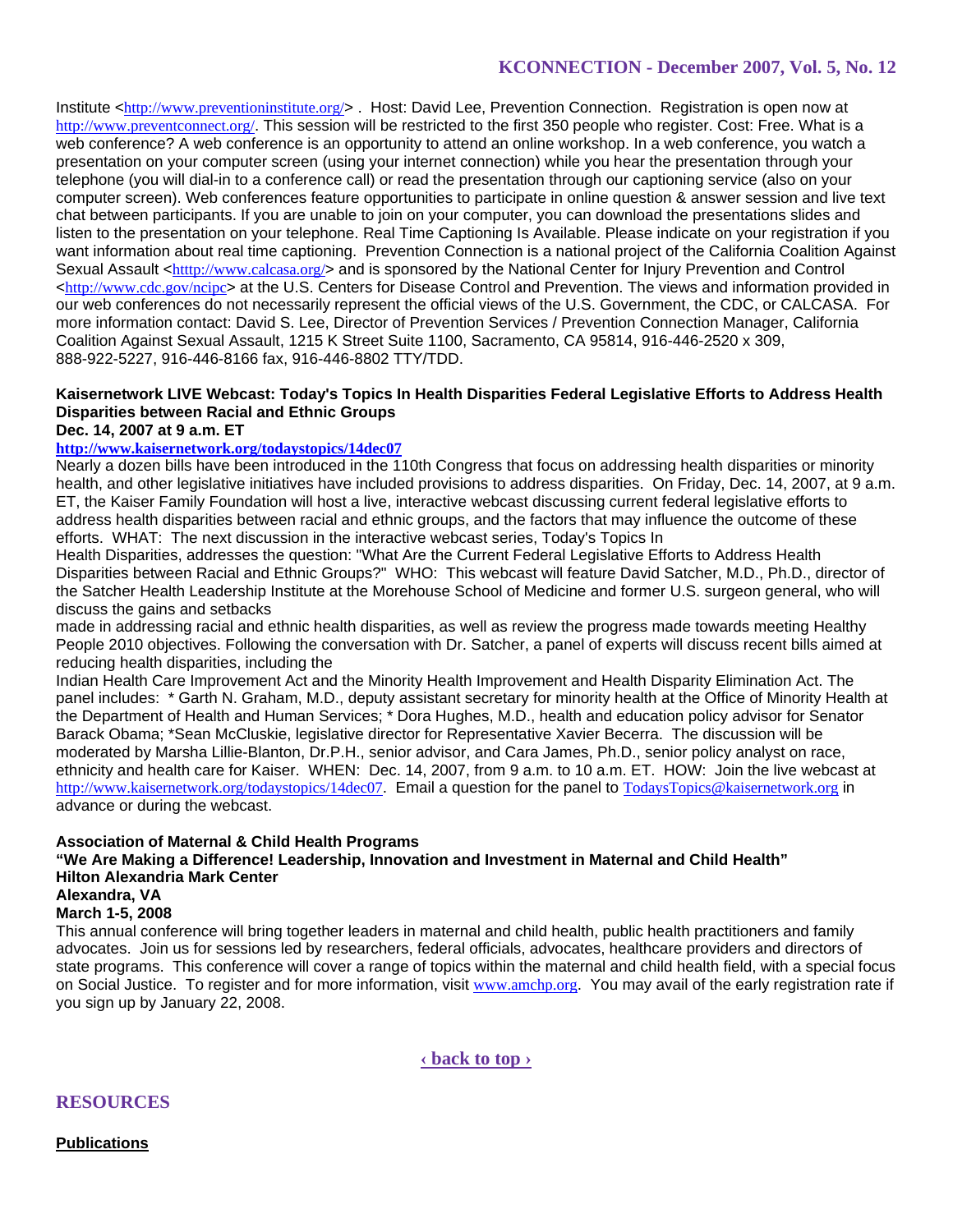Institute <http://www.preventioninstitute.org/> . Host: David Lee, Prevention Connection. Registration is open now at http://www.preventconnect.org/. This session will be restricted to the first 350 people who register. Cost: Free. What is a web conference? A web conference is an opportunity to attend an online workshop. In a web conference, you watch a presentation on your computer screen (using your internet connection) while you hear the presentation through your telephone (you will dial-in to a conference call) or read the presentation through our captioning service (also on your computer screen). Web conferences feature opportunities to participate in online question & answer session and live text chat between participants. If you are unable to join on your computer, you can download the presentations slides and listen to the presentation on your telephone. Real Time Captioning Is Available. Please indicate on your registration if you want information about real time captioning. Prevention Connection is a national project of the California Coalition Against Sexual Assault <htttp://www.calcasa.org/> and is sponsored by the National Center for Injury Prevention and Control  $\text{thtn:}/\text{www.cdc.gov/ncinc}$  at the U.S. Centers for Disease Control and Prevention. The views and information provided in our web conferences do not necessarily represent the official views of the U.S. Government, the CDC, or CALCASA. For more information contact: David S. Lee, Director of Prevention Services / Prevention Connection Manager, California Coalition Against Sexual Assault, 1215 K Street Suite 1100, Sacramento, CA 95814, 916-446-2520 x 309, 888-922-5227, 916-446-8166 fax, 916-446-8802 TTY/TDD.

# **Kaisernetwork LIVE Webcast: Today's Topics In Health Disparities Federal Legislative Efforts to Address Health Disparities between Racial and Ethnic Groups**

### **Dec. 14, 2007 at 9 a.m. ET**

# **http://www.kaisernetwork.org/todaystopics/14dec07**

Nearly a dozen bills have been introduced in the 110th Congress that focus on addressing health disparities or minority health, and other legislative initiatives have included provisions to address disparities. On Friday, Dec. 14, 2007, at 9 a.m. ET, the Kaiser Family Foundation will host a live, interactive webcast discussing current federal legislative efforts to address health disparities between racial and ethnic groups, and the factors that may influence the outcome of these efforts. WHAT: The next discussion in the interactive webcast series, Today's Topics In

Health Disparities, addresses the question: "What Are the Current Federal Legislative Efforts to Address Health Disparities between Racial and Ethnic Groups?" WHO: This webcast will feature David Satcher, M.D., Ph.D., director of the Satcher Health Leadership Institute at the Morehouse School of Medicine and former U.S. surgeon general, who will discuss the gains and setbacks

made in addressing racial and ethnic health disparities, as well as review the progress made towards meeting Healthy People 2010 objectives. Following the conversation with Dr. Satcher, a panel of experts will discuss recent bills aimed at reducing health disparities, including the

Indian Health Care Improvement Act and the Minority Health Improvement and Health Disparity Elimination Act. The panel includes: \* Garth N. Graham, M.D., deputy assistant secretary for minority health at the Office of Minority Health at the Department of Health and Human Services; \* Dora Hughes, M.D., health and education policy advisor for Senator Barack Obama; \*Sean McCluskie, legislative director for Representative Xavier Becerra. The discussion will be moderated by Marsha Lillie-Blanton, Dr.P.H., senior advisor, and Cara James, Ph.D., senior policy analyst on race, ethnicity and health care for Kaiser. WHEN: Dec. 14, 2007, from 9 a.m. to 10 a.m. ET. HOW: Join the live webcast at http://www.kaisernetwork.org/todaystopics/14dec07. Email a question for the panel to TodaysTopics@kaisernetwork.org in advance or during the webcast.

### **Association of Maternal & Child Health Programs**

### **"We Are Making a Difference! Leadership, Innovation and Investment in Maternal and Child Health" Hilton Alexandria Mark Center**

### **Alexandra, VA**

# **March 1-5, 2008**

This annual conference will bring together leaders in maternal and child health, public health practitioners and family advocates. Join us for sessions led by researchers, federal officials, advocates, healthcare providers and directors of state programs. This conference will cover a range of topics within the maternal and child health field, with a special focus on Social Justice. To register and for more information, visit www.amchp.org. You may avail of the early registration rate if you sign up by January 22, 2008.

**‹ back to top ›**

**RESOURCES**

**Publications**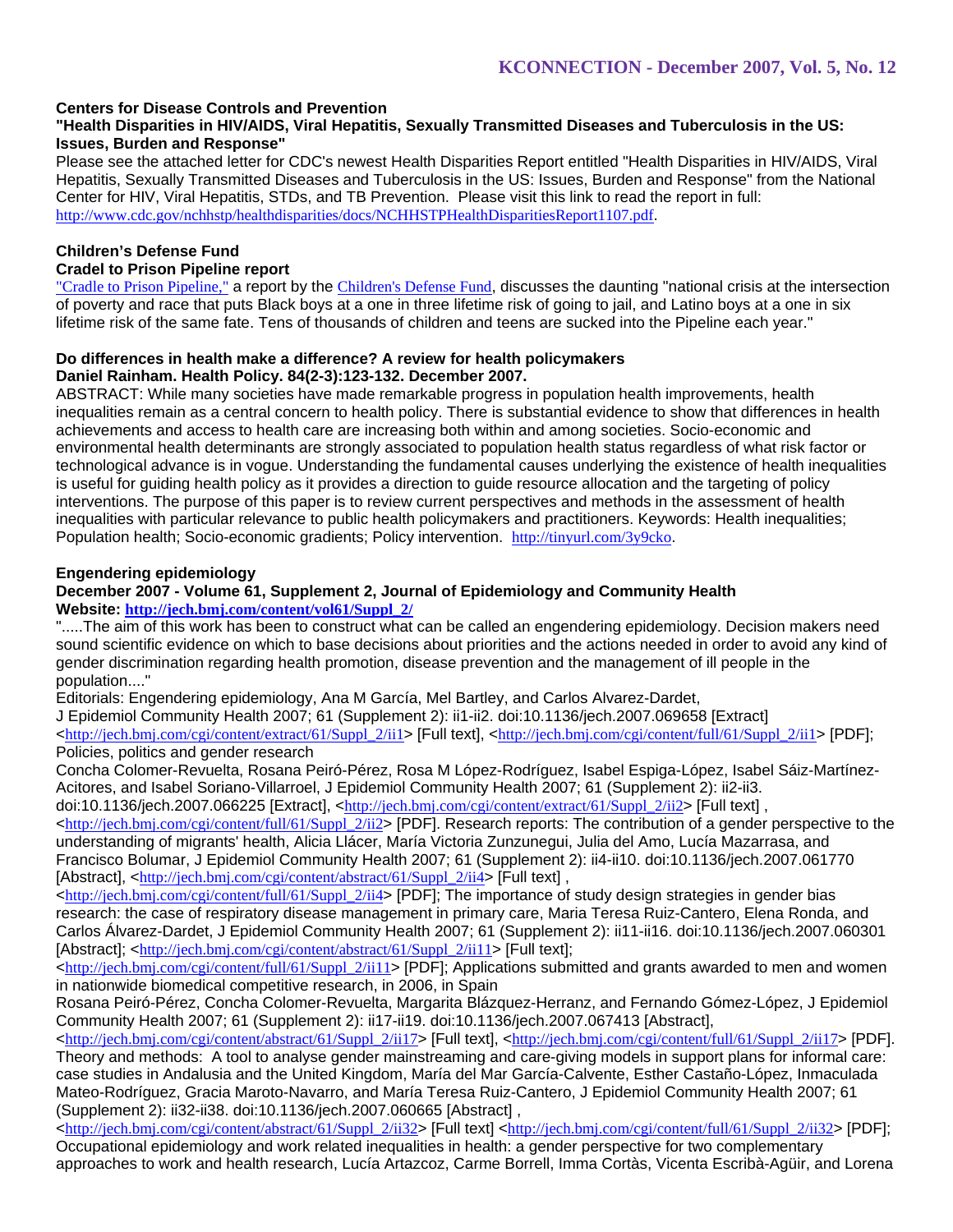# **Centers for Disease Controls and Prevention**

# **"Health Disparities in HIV/AIDS, Viral Hepatitis, Sexually Transmitted Diseases and Tuberculosis in the US: Issues, Burden and Response"**

Please see the attached letter for CDC's newest Health Disparities Report entitled "Health Disparities in HIV/AIDS, Viral Hepatitis, Sexually Transmitted Diseases and Tuberculosis in the US: Issues, Burden and Response" from the National Center for HIV, Viral Hepatitis, STDs, and TB Prevention. Please visit this link to read the report in full: http://www.cdc.gov/nchhstp/healthdisparities/docs/NCHHSTPHealthDisparitiesReport1107.pdf.

# **Children's Defense Fund**

# **Cradel to Prison Pipeline report**

"Cradle to Prison Pipeline," a report by the Children's Defense Fund, discusses the daunting "national crisis at the intersection of poverty and race that puts Black boys at a one in three lifetime risk of going to jail, and Latino boys at a one in six lifetime risk of the same fate. Tens of thousands of children and teens are sucked into the Pipeline each year."

#### **Do differences in health make a difference? A review for health policymakers Daniel Rainham. Health Policy. 84(2-3):123-132. December 2007.**

ABSTRACT: While many societies have made remarkable progress in population health improvements, health inequalities remain as a central concern to health policy. There is substantial evidence to show that differences in health achievements and access to health care are increasing both within and among societies. Socio-economic and environmental health determinants are strongly associated to population health status regardless of what risk factor or technological advance is in vogue. Understanding the fundamental causes underlying the existence of health inequalities is useful for guiding health policy as it provides a direction to guide resource allocation and the targeting of policy interventions. The purpose of this paper is to review current perspectives and methods in the assessment of health inequalities with particular relevance to public health policymakers and practitioners. Keywords: Health inequalities; Population health; Socio-economic gradients; Policy intervention. http://tinyurl.com/3y9cko.

# **Engendering epidemiology**

### **December 2007 - Volume 61, Supplement 2, Journal of Epidemiology and Community Health Website: http://jech.bmj.com/content/vol61/Suppl\_2/**

".....The aim of this work has been to construct what can be called an engendering epidemiology. Decision makers need sound scientific evidence on which to base decisions about priorities and the actions needed in order to avoid any kind of gender discrimination regarding health promotion, disease prevention and the management of ill people in the population...."

Editorials: Engendering epidemiology, Ana M García, Mel Bartley, and Carlos Alvarez-Dardet,

J Epidemiol Community Health 2007; 61 (Supplement 2): ii1-ii2. doi:10.1136/jech.2007.069658 [Extract]

 $\text{th}(p://jech.bmi.com/cgi/content/extract/61/Suppl 2/iil>$  [Full text],  $\text{th}(p://jech.bmi.com/cgi/content/full/61/Suppl 2/iil>$  [PDF]; Policies, politics and gender research

Concha Colomer-Revuelta, Rosana Peiró-Pérez, Rosa M López-Rodríguez, Isabel Espiga-López, Isabel Sáiz-Martínez-Acitores, and Isabel Soriano-Villarroel, J Epidemiol Community Health 2007; 61 (Supplement 2): ii2-ii3.

doi:10.1136/jech.2007.066225 [Extract], <http://jech.bmj.com/cgi/content/extract/61/Suppl\_2/ii2> [Full text], <http://jech.bmj.com/cgi/content/full/61/Suppl\_2/ii2> [PDF]. Research reports: The contribution of a gender perspective to the

understanding of migrants' health, Alicia Llácer, María Victoria Zunzunegui, Julia del Amo, Lucía Mazarrasa, and Francisco Bolumar, J Epidemiol Community Health 2007; 61 (Supplement 2): ii4-ii10. doi:10.1136/jech.2007.061770 [Abstract], <http://jech.bmj.com/cgi/content/abstract/61/Suppl\_2/ii4> [Full text],

 $\text{thtn:}/\text{jech}, \text{bmi}, \text{com/cgi/content/full/61/Suppl}$  2/ii4> [PDF]. The importance of study design strategies in gender bias research: the case of respiratory disease management in primary care, Maria Teresa Ruiz-Cantero, Elena Ronda, and Carlos Álvarez-Dardet, J Epidemiol Community Health 2007; 61 (Supplement 2): ii11-ii16. doi:10.1136/jech.2007.060301 [Abstract]; <http://jech.bmj.com/cgi/content/abstract/61/Suppl\_2/ii11> [Full text];

<http://jech.bmj.com/cgi/content/full/61/Suppl\_2/ii11> [PDF]; Applications submitted and grants awarded to men and women in nationwide biomedical competitive research, in 2006, in Spain

Rosana Peiró-Pérez, Concha Colomer-Revuelta, Margarita Blázquez-Herranz, and Fernando Gómez-López, J Epidemiol Community Health 2007; 61 (Supplement 2): ii17-ii19. doi:10.1136/jech.2007.067413 [Abstract],

<http://jech.bmj.com/cgi/content/abstract/61/Suppl\_2/ii17> [Full text], <http://jech.bmj.com/cgi/content/full/61/Suppl\_2/ii17> [PDF]. Theory and methods: A tool to analyse gender mainstreaming and care-giving models in support plans for informal care: case studies in Andalusia and the United Kingdom, María del Mar García-Calvente, Esther Castaño-López, Inmaculada Mateo-Rodríguez, Gracia Maroto-Navarro, and María Teresa Ruiz-Cantero, J Epidemiol Community Health 2007; 61 (Supplement 2): ii32-ii38. doi:10.1136/jech.2007.060665 [Abstract] ,

<http://jech.bmj.com/cgi/content/abstract/61/Suppl\_2/ii32> [Full text] <http://jech.bmj.com/cgi/content/full/61/Suppl\_2/ii32> [PDF]; Occupational epidemiology and work related inequalities in health: a gender perspective for two complementary approaches to work and health research, Lucía Artazcoz, Carme Borrell, Imma Cortàs, Vicenta Escribà-Agüir, and Lorena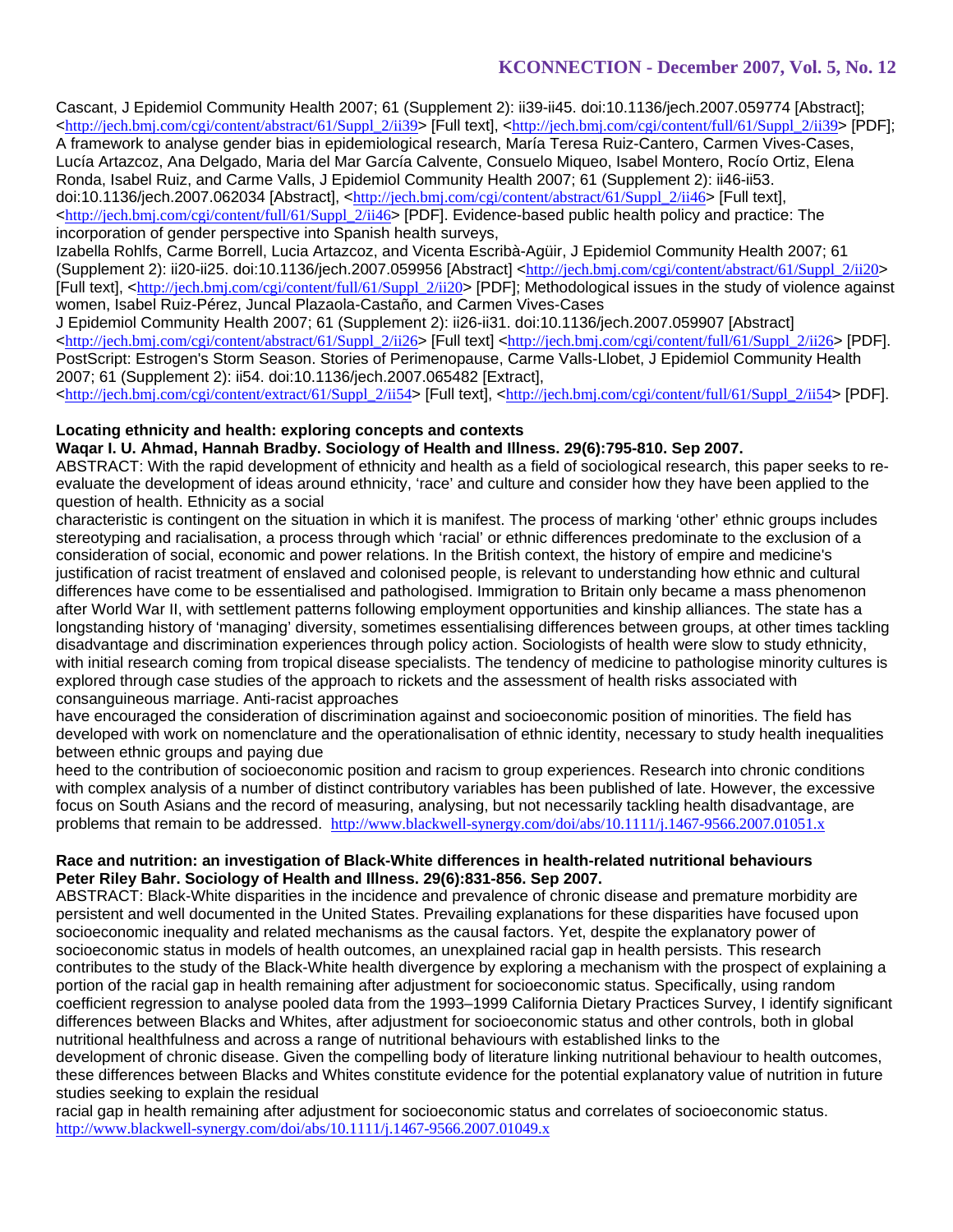Cascant, J Epidemiol Community Health 2007; 61 (Supplement 2): ii39-ii45. doi:10.1136/jech.2007.059774 [Abstract]; <http://jech.bmj.com/cgi/content/abstract/61/Suppl\_2/ii39> [Full text], <http://jech.bmj.com/cgi/content/full/61/Suppl\_2/ii39> [PDF]; A framework to analyse gender bias in epidemiological research, María Teresa Ruiz-Cantero, Carmen Vives-Cases, Lucía Artazcoz, Ana Delgado, Maria del Mar García Calvente, Consuelo Miqueo, Isabel Montero, Rocío Ortiz, Elena Ronda, Isabel Ruiz, and Carme Valls, J Epidemiol Community Health 2007; 61 (Supplement 2): ii46-ii53. doi:10.1136/jech.2007.062034 [Abstract], <http://jech.bmj.com/cgi/content/abstract/61/Suppl\_2/ii46> [Full text], <http://jech.bmj.com/cgi/content/full/61/Suppl\_2/ii46> [PDF]. Evidence-based public health policy and practice: The incorporation of gender perspective into Spanish health surveys,

Izabella Rohlfs, Carme Borrell, Lucia Artazcoz, and Vicenta Escribà-Agüir, J Epidemiol Community Health 2007; 61 (Supplement 2): ii20-ii25. doi:10.1136/jech.2007.059956 [Abstract] <http://jech.bmj.com/cgi/content/abstract/61/Suppl\_2/ii20> [Full text], <http://jech.bmj.com/cgi/content/full/61/Suppl\_2/ii20> [PDF]; Methodological issues in the study of violence against women, Isabel Ruiz-Pérez, Juncal Plazaola-Castaño, and Carmen Vives-Cases

J Epidemiol Community Health 2007; 61 (Supplement 2): ii26-ii31. doi:10.1136/jech.2007.059907 [Abstract] <http://jech.bmj.com/cgi/content/abstract/61/Suppl\_2/ii26> [Full text] <http://jech.bmj.com/cgi/content/full/61/Suppl\_2/ii26> [PDF]. PostScript: Estrogen's Storm Season. Stories of Perimenopause, Carme Valls-Llobet, J Epidemiol Community Health 2007; 61 (Supplement 2): ii54. doi:10.1136/jech.2007.065482 [Extract],

<http://jech.bmj.com/cgi/content/extract/61/Suppl\_2/ii54> [Full text], <http://jech.bmj.com/cgi/content/full/61/Suppl\_2/ii54> [PDF].

### **Locating ethnicity and health: exploring concepts and contexts**

### **Waqar I. U. Ahmad, Hannah Bradby. Sociology of Health and Illness. 29(6):795-810. Sep 2007.**

ABSTRACT: With the rapid development of ethnicity and health as a field of sociological research, this paper seeks to reevaluate the development of ideas around ethnicity, 'race' and culture and consider how they have been applied to the question of health. Ethnicity as a social

characteristic is contingent on the situation in which it is manifest. The process of marking 'other' ethnic groups includes stereotyping and racialisation, a process through which 'racial' or ethnic differences predominate to the exclusion of a consideration of social, economic and power relations. In the British context, the history of empire and medicine's justification of racist treatment of enslaved and colonised people, is relevant to understanding how ethnic and cultural differences have come to be essentialised and pathologised. Immigration to Britain only became a mass phenomenon after World War II, with settlement patterns following employment opportunities and kinship alliances. The state has a longstanding history of 'managing' diversity, sometimes essentialising differences between groups, at other times tackling disadvantage and discrimination experiences through policy action. Sociologists of health were slow to study ethnicity, with initial research coming from tropical disease specialists. The tendency of medicine to pathologise minority cultures is explored through case studies of the approach to rickets and the assessment of health risks associated with consanguineous marriage. Anti-racist approaches

have encouraged the consideration of discrimination against and socioeconomic position of minorities. The field has developed with work on nomenclature and the operationalisation of ethnic identity, necessary to study health inequalities between ethnic groups and paying due

heed to the contribution of socioeconomic position and racism to group experiences. Research into chronic conditions with complex analysis of a number of distinct contributory variables has been published of late. However, the excessive focus on South Asians and the record of measuring, analysing, but not necessarily tackling health disadvantage, are problems that remain to be addressed. http://www.blackwell-synergy.com/doi/abs/10.1111/j.1467-9566.2007.01051.x

### **Race and nutrition: an investigation of Black-White differences in health-related nutritional behaviours Peter Riley Bahr. Sociology of Health and Illness. 29(6):831-856. Sep 2007.**

ABSTRACT: Black-White disparities in the incidence and prevalence of chronic disease and premature morbidity are persistent and well documented in the United States. Prevailing explanations for these disparities have focused upon socioeconomic inequality and related mechanisms as the causal factors. Yet, despite the explanatory power of socioeconomic status in models of health outcomes, an unexplained racial gap in health persists. This research contributes to the study of the Black-White health divergence by exploring a mechanism with the prospect of explaining a portion of the racial gap in health remaining after adjustment for socioeconomic status. Specifically, using random coefficient regression to analyse pooled data from the 1993–1999 California Dietary Practices Survey, I identify significant differences between Blacks and Whites, after adjustment for socioeconomic status and other controls, both in global nutritional healthfulness and across a range of nutritional behaviours with established links to the

development of chronic disease. Given the compelling body of literature linking nutritional behaviour to health outcomes, these differences between Blacks and Whites constitute evidence for the potential explanatory value of nutrition in future studies seeking to explain the residual

racial gap in health remaining after adjustment for socioeconomic status and correlates of socioeconomic status. http://www.blackwell-synergy.com/doi/abs/10.1111/j.1467-9566.2007.01049.x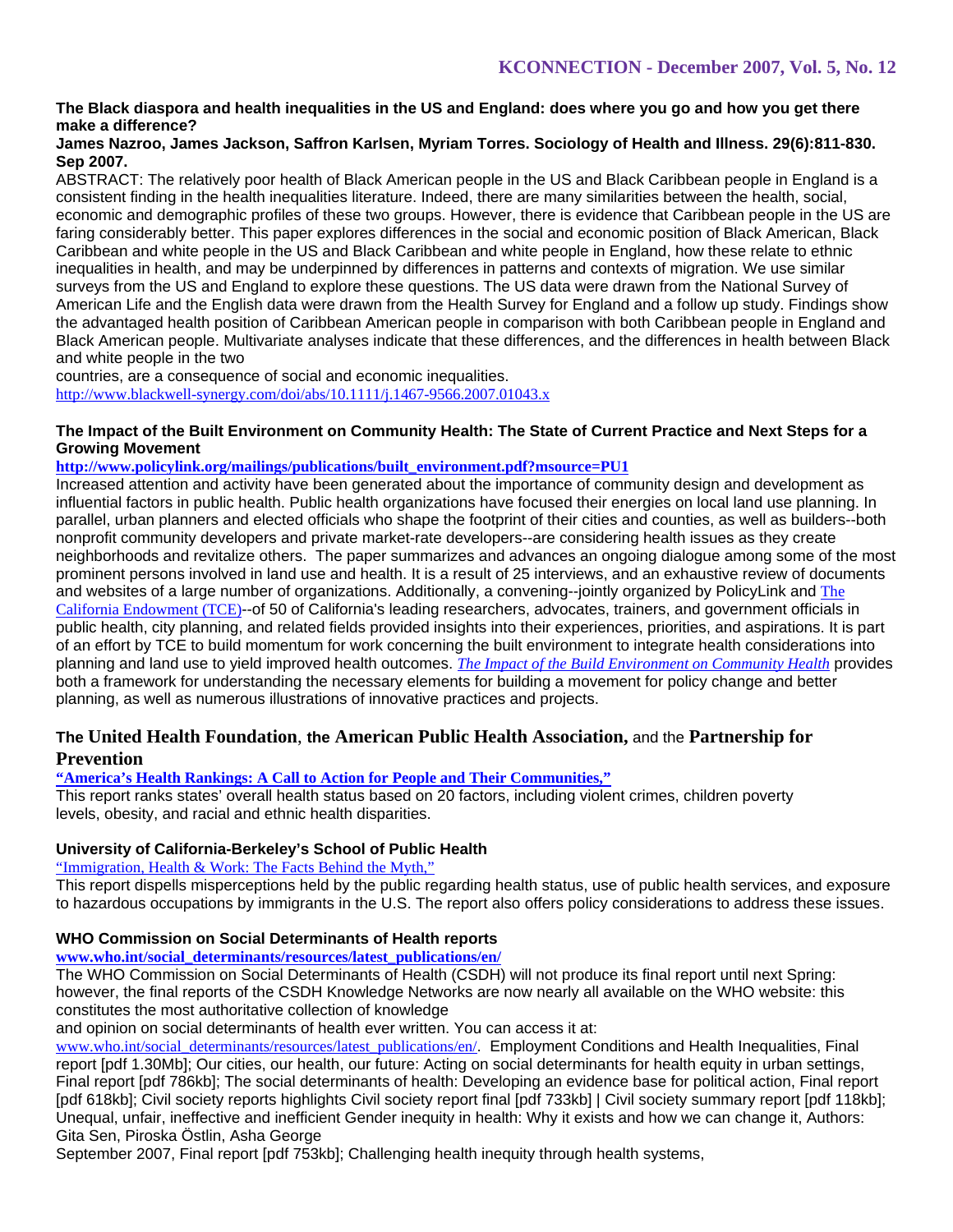# **The Black diaspora and health inequalities in the US and England: does where you go and how you get there make a difference?**

### **James Nazroo, James Jackson, Saffron Karlsen, Myriam Torres. Sociology of Health and Illness. 29(6):811-830. Sep 2007.**

ABSTRACT: The relatively poor health of Black American people in the US and Black Caribbean people in England is a consistent finding in the health inequalities literature. Indeed, there are many similarities between the health, social, economic and demographic profiles of these two groups. However, there is evidence that Caribbean people in the US are faring considerably better. This paper explores differences in the social and economic position of Black American, Black Caribbean and white people in the US and Black Caribbean and white people in England, how these relate to ethnic inequalities in health, and may be underpinned by differences in patterns and contexts of migration. We use similar surveys from the US and England to explore these questions. The US data were drawn from the National Survey of American Life and the English data were drawn from the Health Survey for England and a follow up study. Findings show the advantaged health position of Caribbean American people in comparison with both Caribbean people in England and Black American people. Multivariate analyses indicate that these differences, and the differences in health between Black and white people in the two

countries, are a consequence of social and economic inequalities. http://www.blackwell-synergy.com/doi/abs/10.1111/j.1467-9566.2007.01043.x

### **The Impact of the Built Environment on Community Health: The State of Current Practice and Next Steps for a Growing Movement**

### **http://www.policylink.org/mailings/publications/built\_environment.pdf?msource=PU1**

Increased attention and activity have been generated about the importance of community design and development as influential factors in public health. Public health organizations have focused their energies on local land use planning. In parallel, urban planners and elected officials who shape the footprint of their cities and counties, as well as builders--both nonprofit community developers and private market-rate developers--are considering health issues as they create neighborhoods and revitalize others. The paper summarizes and advances an ongoing dialogue among some of the most prominent persons involved in land use and health. It is a result of 25 interviews, and an exhaustive review of documents and websites of a large number of organizations. Additionally, a convening--jointly organized by PolicyLink and The California Endowment (TCE)--of 50 of California's leading researchers, advocates, trainers, and government officials in public health, city planning, and related fields provided insights into their experiences, priorities, and aspirations. It is part of an effort by TCE to build momentum for work concerning the built environment to integrate health considerations into planning and land use to yield improved health outcomes. *The Impact of the Build Environment on Community Health* provides both a framework for understanding the necessary elements for building a movement for policy change and better planning, as well as numerous illustrations of innovative practices and projects.

# **The United Health Foundation**, **the American Public Health Association,** and the **Partnership for Prevention**

# **"America's Health Rankings: A Call to Action for People and Their Communities,"**

This report ranks states' overall health status based on 20 factors, including violent crimes, children poverty levels, obesity, and racial and ethnic health disparities.

# **University of California-Berkeley's School of Public Health**

# "Immigration, Health & Work: The Facts Behind the Myth,"

This report dispells misperceptions held by the public regarding health status, use of public health services, and exposure to hazardous occupations by immigrants in the U.S. The report also offers policy considerations to address these issues.

# **WHO Commission on Social Determinants of Health reports**

### **www.who.int/social\_determinants/resources/latest\_publications/en/**

The WHO Commission on Social Determinants of Health (CSDH) will not produce its final report until next Spring: however, the final reports of the CSDH Knowledge Networks are now nearly all available on the WHO website: this constitutes the most authoritative collection of knowledge

and opinion on social determinants of health ever written. You can access it at:

www.who.int/social\_determinants/resources/latest\_publications/en/. Employment Conditions and Health Inequalities, Final report [pdf 1.30Mb]; Our cities, our health, our future: Acting on social determinants for health equity in urban settings, Final report [pdf 786kb]; The social determinants of health: Developing an evidence base for political action, Final report [pdf 618kb]; Civil society reports highlights Civil society report final [pdf 733kb] | Civil society summary report [pdf 118kb]; Unequal, unfair, ineffective and inefficient Gender inequity in health: Why it exists and how we can change it, Authors: Gita Sen, Piroska Östlin, Asha George

September 2007, Final report [pdf 753kb]; Challenging health inequity through health systems,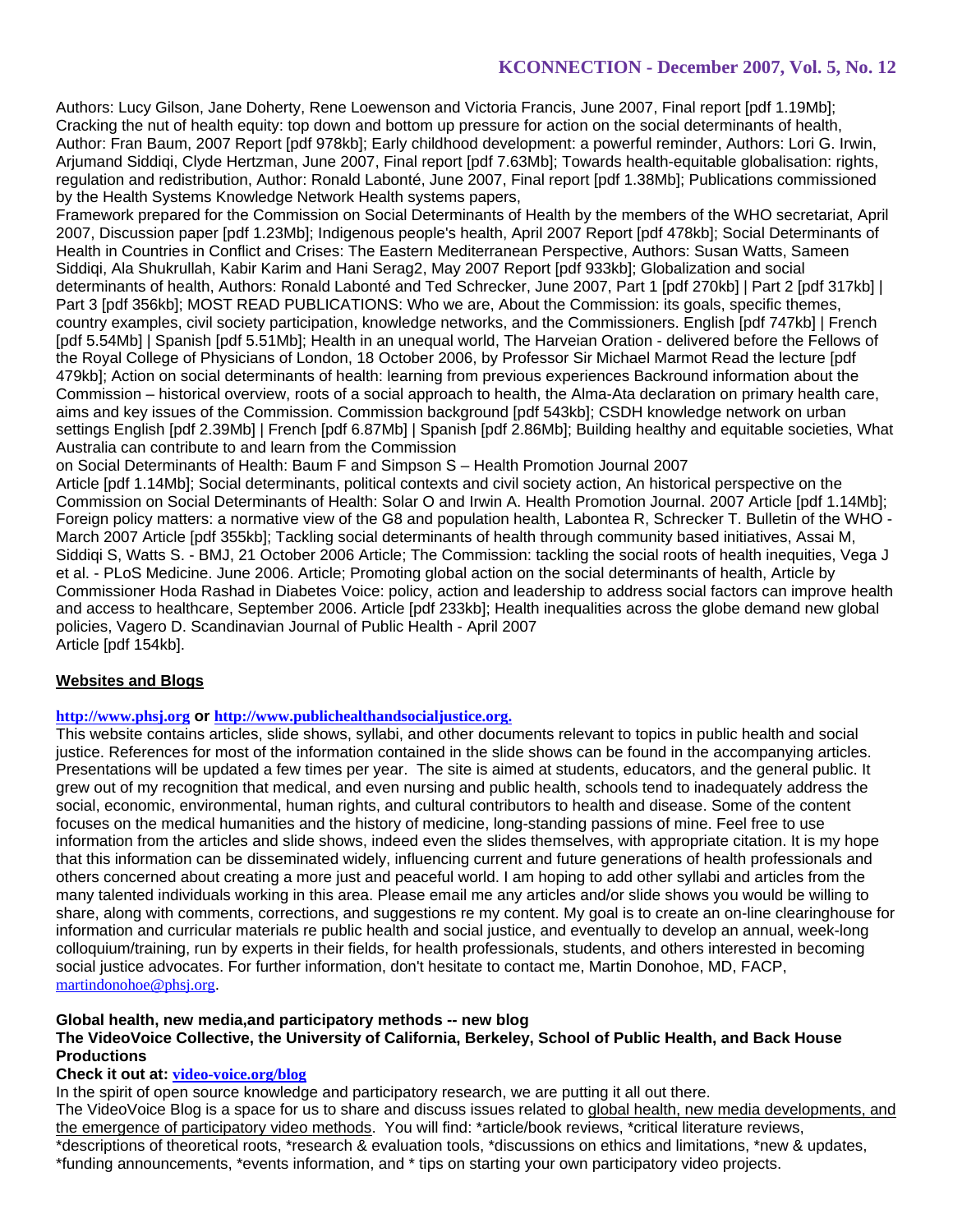Authors: Lucy Gilson, Jane Doherty, Rene Loewenson and Victoria Francis, June 2007, Final report [pdf 1.19Mb]; Cracking the nut of health equity: top down and bottom up pressure for action on the social determinants of health, Author: Fran Baum, 2007 Report [pdf 978kb]; Early childhood development: a powerful reminder, Authors: Lori G. Irwin, Arjumand Siddiqi, Clyde Hertzman, June 2007, Final report [pdf 7.63Mb]; Towards health-equitable globalisation: rights, regulation and redistribution, Author: Ronald Labonté, June 2007, Final report [pdf 1.38Mb]; Publications commissioned by the Health Systems Knowledge Network Health systems papers,

Framework prepared for the Commission on Social Determinants of Health by the members of the WHO secretariat, April 2007, Discussion paper [pdf 1.23Mb]; Indigenous people's health, April 2007 Report [pdf 478kb]; Social Determinants of Health in Countries in Conflict and Crises: The Eastern Mediterranean Perspective, Authors: Susan Watts, Sameen Siddiqi, Ala Shukrullah, Kabir Karim and Hani Serag2, May 2007 Report [pdf 933kb]; Globalization and social determinants of health, Authors: Ronald Labonté and Ted Schrecker, June 2007, Part 1 [pdf 270kb] | Part 2 [pdf 317kb] | Part 3 [pdf 356kb]; MOST READ PUBLICATIONS: Who we are, About the Commission: its goals, specific themes, country examples, civil society participation, knowledge networks, and the Commissioners. English [pdf 747kb] | French [pdf 5.54Mb] | Spanish [pdf 5.51Mb]; Health in an unequal world, The Harveian Oration - delivered before the Fellows of the Royal College of Physicians of London, 18 October 2006, by Professor Sir Michael Marmot Read the lecture [pdf 479kb]; Action on social determinants of health: learning from previous experiences Backround information about the Commission – historical overview, roots of a social approach to health, the Alma-Ata declaration on primary health care, aims and key issues of the Commission. Commission background [pdf 543kb]; CSDH knowledge network on urban settings English [pdf 2.39Mb] | French [pdf 6.87Mb] | Spanish [pdf 2.86Mb]; Building healthy and equitable societies, What Australia can contribute to and learn from the Commission

on Social Determinants of Health: Baum F and Simpson S – Health Promotion Journal 2007

Article [pdf 1.14Mb]; Social determinants, political contexts and civil society action, An historical perspective on the Commission on Social Determinants of Health: Solar O and Irwin A. Health Promotion Journal. 2007 Article [pdf 1.14Mb]; Foreign policy matters: a normative view of the G8 and population health, Labontea R, Schrecker T. Bulletin of the WHO - March 2007 Article [pdf 355kb]; Tackling social determinants of health through community based initiatives, Assai M, Siddiqi S, Watts S. - BMJ, 21 October 2006 Article; The Commission: tackling the social roots of health inequities, Vega J et al. - PLoS Medicine. June 2006. Article; Promoting global action on the social determinants of health, Article by Commissioner Hoda Rashad in Diabetes Voice: policy, action and leadership to address social factors can improve health and access to healthcare, September 2006. Article [pdf 233kb]; Health inequalities across the globe demand new global policies, Vagero D. Scandinavian Journal of Public Health - April 2007 Article [pdf 154kb].

# **Websites and Blogs**

### **http://www.phsj.org or http://www.publichealthandsocialjustice.org.**

This website contains articles, slide shows, syllabi, and other documents relevant to topics in public health and social justice. References for most of the information contained in the slide shows can be found in the accompanying articles. Presentations will be updated a few times per year. The site is aimed at students, educators, and the general public. It grew out of my recognition that medical, and even nursing and public health, schools tend to inadequately address the social, economic, environmental, human rights, and cultural contributors to health and disease. Some of the content focuses on the medical humanities and the history of medicine, long-standing passions of mine. Feel free to use information from the articles and slide shows, indeed even the slides themselves, with appropriate citation. It is my hope that this information can be disseminated widely, influencing current and future generations of health professionals and others concerned about creating a more just and peaceful world. I am hoping to add other syllabi and articles from the many talented individuals working in this area. Please email me any articles and/or slide shows you would be willing to share, along with comments, corrections, and suggestions re my content. My goal is to create an on-line clearinghouse for information and curricular materials re public health and social justice, and eventually to develop an annual, week-long colloquium/training, run by experts in their fields, for health professionals, students, and others interested in becoming social justice advocates. For further information, don't hesitate to contact me, Martin Donohoe, MD, FACP, martindonohoe@phsj.org.

### **Global health, new media,and participatory methods -- new blog**

### **The VideoVoice Collective, the University of California, Berkeley, School of Public Health, and Back House Productions**

### **Check it out at: video-voice.org/blog**

In the spirit of open source knowledge and participatory research, we are putting it all out there.

The VideoVoice Blog is a space for us to share and discuss issues related to global health, new media developments, and the emergence of participatory video methods. You will find: \*article/book reviews, \*critical literature reviews, \*descriptions of theoretical roots, \*research & evaluation tools, \*discussions on ethics and limitations, \*new & updates, \*funding announcements, \*events information, and \* tips on starting your own participatory video projects.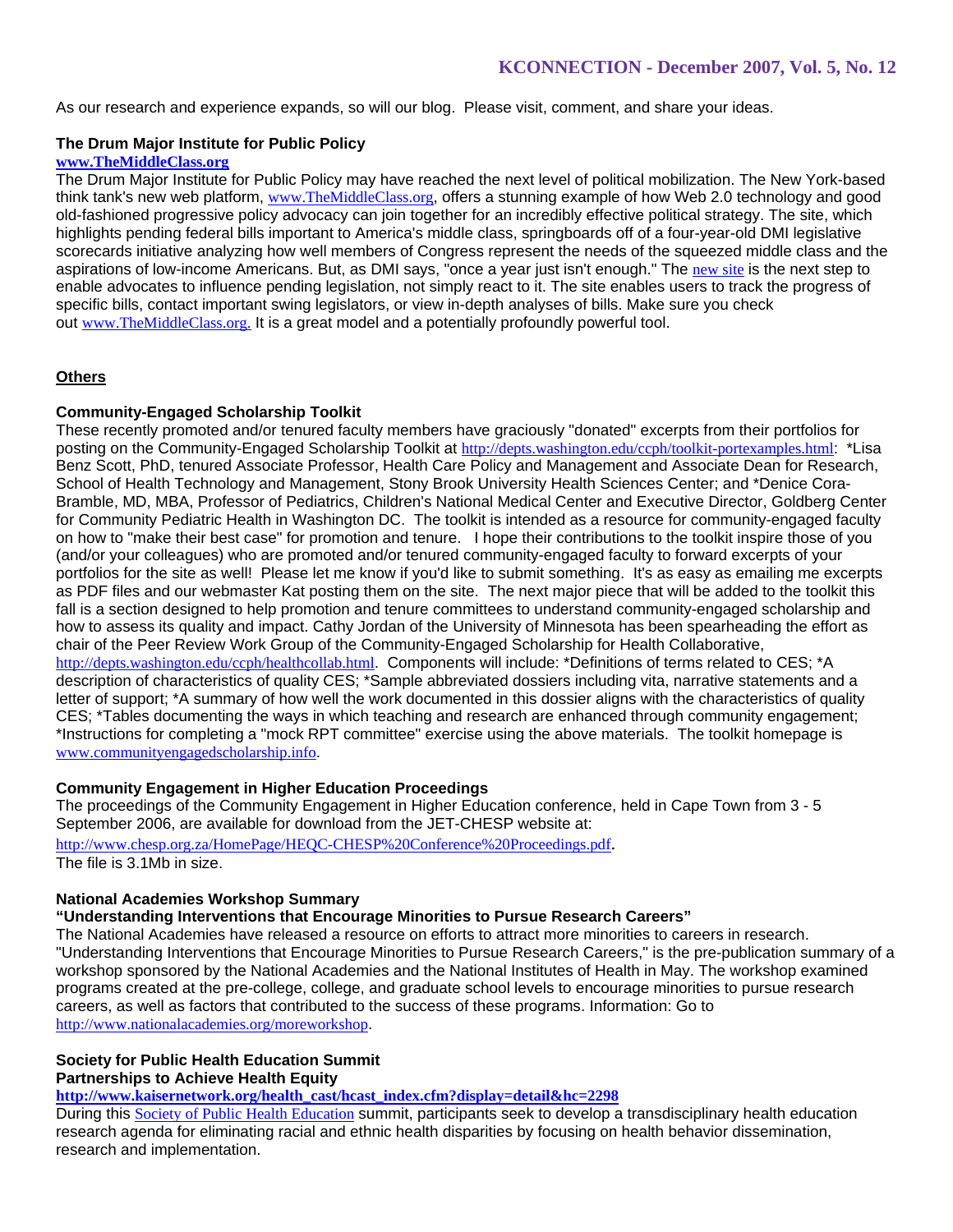As our research and experience expands, so will our blog. Please visit, comment, and share your ideas.

### **The Drum Major Institute for Public Policy**

### **www.TheMiddleClass.org**

The Drum Major Institute for Public Policy may have reached the next level of political mobilization. The New York-based think tank's new web platform, www.TheMiddleClass.org, offers a stunning example of how Web 2.0 technology and good old-fashioned progressive policy advocacy can join together for an incredibly effective political strategy. The site, which highlights pending federal bills important to America's middle class, springboards off of a four-year-old DMI legislative scorecards initiative analyzing how well members of Congress represent the needs of the squeezed middle class and the aspirations of low-income Americans. But, as DMI says, "once a year just isn't enough." The new site is the next step to enable advocates to influence pending legislation, not simply react to it. The site enables users to track the progress of specific bills, contact important swing legislators, or view in-depth analyses of bills. Make sure you check out www.TheMiddleClass.org. It is a great model and a potentially profoundly powerful tool.

# **Others**

### **Community-Engaged Scholarship Toolkit**

These recently promoted and/or tenured faculty members have graciously "donated" excerpts from their portfolios for posting on the Community-Engaged Scholarship Toolkit at http://depts.washington.edu/ccph/toolkit-portexamples.html: \*Lisa Benz Scott, PhD, tenured Associate Professor, Health Care Policy and Management and Associate Dean for Research, School of Health Technology and Management, Stony Brook University Health Sciences Center; and \*Denice Cora-Bramble, MD, MBA, Professor of Pediatrics, Children's National Medical Center and Executive Director, Goldberg Center for Community Pediatric Health in Washington DC. The toolkit is intended as a resource for community-engaged faculty on how to "make their best case" for promotion and tenure. I hope their contributions to the toolkit inspire those of you (and/or your colleagues) who are promoted and/or tenured community-engaged faculty to forward excerpts of your portfolios for the site as well! Please let me know if you'd like to submit something. It's as easy as emailing me excerpts as PDF files and our webmaster Kat posting them on the site. The next major piece that will be added to the toolkit this fall is a section designed to help promotion and tenure committees to understand community-engaged scholarship and how to assess its quality and impact. Cathy Jordan of the University of Minnesota has been spearheading the effort as chair of the Peer Review Work Group of the Community-Engaged Scholarship for Health Collaborative, http://depts.washington.edu/ccph/healthcollab.html. Components will include: \*Definitions of terms related to CES; \*A description of characteristics of quality CES; \*Sample abbreviated dossiers including vita, narrative statements and a letter of support; \*A summary of how well the work documented in this dossier aligns with the characteristics of quality CES; \*Tables documenting the ways in which teaching and research are enhanced through community engagement; \*Instructions for completing a "mock RPT committee" exercise using the above materials. The toolkit homepage is www.communityengagedscholarship.info.

### **Community Engagement in Higher Education Proceedings**

The proceedings of the Community Engagement in Higher Education conference, held in Cape Town from 3 - 5 September 2006, are available for download from the JET-CHESP website at:

http://www.chesp.org.za/HomePage/HEQC-CHESP%20Conference%20Proceedings.pdf. The file is 3.1Mb in size.

# **National Academies Workshop Summary**

**"Understanding Interventions that Encourage Minorities to Pursue Research Careers"**

The National Academies have released a resource on efforts to attract more minorities to careers in research. "Understanding Interventions that Encourage Minorities to Pursue Research Careers," is the pre-publication summary of a workshop sponsored by the National Academies and the National Institutes of Health in May. The workshop examined programs created at the pre-college, college, and graduate school levels to encourage minorities to pursue research careers, as well as factors that contributed to the success of these programs. Information: Go to http://www.nationalacademies.org/moreworkshop.

#### **Society for Public Health Education Summit Partnerships to Achieve Health Equity**

**http://www.kaisernetwork.org/health\_cast/hcast\_index.cfm?display=detail&hc=2298**

During this Society of Public Health Education summit, participants seek to develop a transdisciplinary health education research agenda for eliminating racial and ethnic health disparities by focusing on health behavior dissemination, research and implementation.